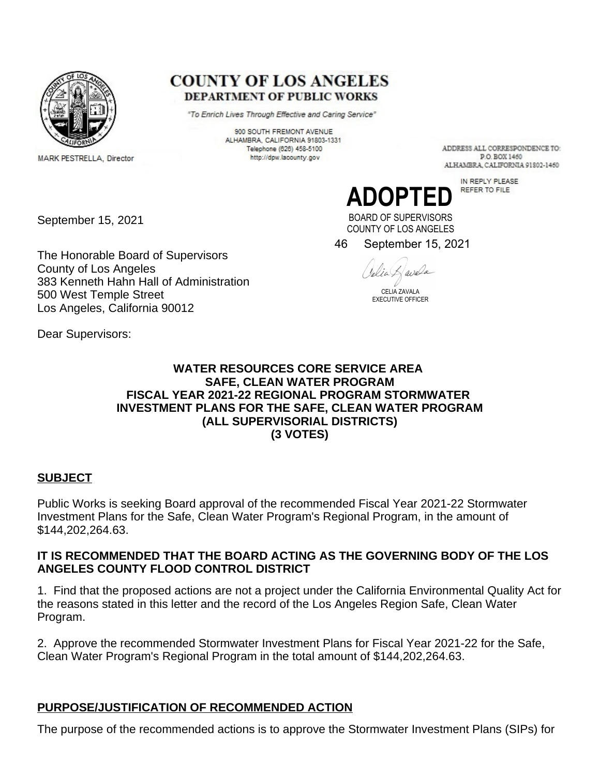

**COUNTY OF LOS ANGELES DEPARTMENT OF PUBLIC WORKS** 

"To Enrich Lives Through Effective and Caring Service"

900 SOUTH FREMONT AVENUE ALHAMBRA, CALIFORNIA 91803-1331 Telephone (626) 458-5100 http://dpw.lacounty.gov

ADDRESS ALL CORRESPONDENCE TO: **PO BOX 1460** ALHAMBRA, CALIFORNIA 91802-1460

IN REPLY PLEASE **ADOPTED** 

September 15, 2021

MARK PESTRELLA, Director

The Honorable Board of Supervisors County of Los Angeles 383 Kenneth Hahn Hall of Administration 500 West Temple Street Los Angeles, California 90012

BOARD OF SUPERVISORS COUNTY OF LOS ANGELES

46 September 15, 2021

Javala Velia

CELIA ZAVALA EXECUTIVE OFFICER

Dear Supervisors:

# **WATER RESOURCES CORE SERVICE AREA SAFE, CLEAN WATER PROGRAM FISCAL YEAR 2021-22 REGIONAL PROGRAM STORMWATER INVESTMENT PLANS FOR THE SAFE, CLEAN WATER PROGRAM (ALL SUPERVISORIAL DISTRICTS) (3 VOTES)**

# **SUBJECT**

Public Works is seeking Board approval of the recommended Fiscal Year 2021-22 Stormwater Investment Plans for the Safe, Clean Water Program's Regional Program, in the amount of \$144,202,264.63.

# **IT IS RECOMMENDED THAT THE BOARD ACTING AS THE GOVERNING BODY OF THE LOS ANGELES COUNTY FLOOD CONTROL DISTRICT**

1. Find that the proposed actions are not a project under the California Environmental Quality Act for the reasons stated in this letter and the record of the Los Angeles Region Safe, Clean Water Program.

2. Approve the recommended Stormwater Investment Plans for Fiscal Year 2021-22 for the Safe, Clean Water Program's Regional Program in the total amount of \$144,202,264.63.

# **PURPOSE/JUSTIFICATION OF RECOMMENDED ACTION**

The purpose of the recommended actions is to approve the Stormwater Investment Plans (SIPs) for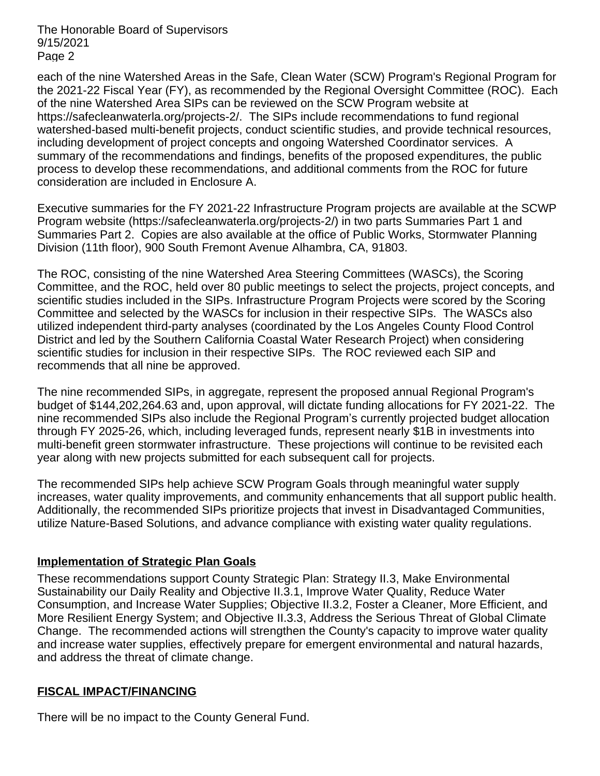The Honorable Board of Supervisors 9/15/2021 Page 2

each of the nine Watershed Areas in the Safe, Clean Water (SCW) Program's Regional Program for the 2021-22 Fiscal Year (FY), as recommended by the Regional Oversight Committee (ROC). Each of the nine Watershed Area SIPs can be reviewed on the SCW Program website at https://safecleanwaterla.org/projects-2/. The SIPs include recommendations to fund regional watershed-based multi-benefit projects, conduct scientific studies, and provide technical resources, including development of project concepts and ongoing Watershed Coordinator services. A summary of the recommendations and findings, benefits of the proposed expenditures, the public process to develop these recommendations, and additional comments from the ROC for future consideration are included in Enclosure A.

Executive summaries for the FY 2021-22 Infrastructure Program projects are available at the SCWP Program website (https://safecleanwaterla.org/projects-2/) in two parts Summaries Part 1 and Summaries Part 2. Copies are also available at the office of Public Works, Stormwater Planning Division (11th floor), 900 South Fremont Avenue Alhambra, CA, 91803.

The ROC, consisting of the nine Watershed Area Steering Committees (WASCs), the Scoring Committee, and the ROC, held over 80 public meetings to select the projects, project concepts, and scientific studies included in the SIPs. Infrastructure Program Projects were scored by the Scoring Committee and selected by the WASCs for inclusion in their respective SIPs. The WASCs also utilized independent third-party analyses (coordinated by the Los Angeles County Flood Control District and led by the Southern California Coastal Water Research Project) when considering scientific studies for inclusion in their respective SIPs. The ROC reviewed each SIP and recommends that all nine be approved.

The nine recommended SIPs, in aggregate, represent the proposed annual Regional Program's budget of \$144,202,264.63 and, upon approval, will dictate funding allocations for FY 2021-22. The nine recommended SIPs also include the Regional Program's currently projected budget allocation through FY 2025-26, which, including leveraged funds, represent nearly \$1B in investments into multi-benefit green stormwater infrastructure. These projections will continue to be revisited each year along with new projects submitted for each subsequent call for projects.

The recommended SIPs help achieve SCW Program Goals through meaningful water supply increases, water quality improvements, and community enhancements that all support public health. Additionally, the recommended SIPs prioritize projects that invest in Disadvantaged Communities, utilize Nature-Based Solutions, and advance compliance with existing water quality regulations.

# **Implementation of Strategic Plan Goals**

These recommendations support County Strategic Plan: Strategy II.3, Make Environmental Sustainability our Daily Reality and Objective II.3.1, Improve Water Quality, Reduce Water Consumption, and Increase Water Supplies; Objective II.3.2, Foster a Cleaner, More Efficient, and More Resilient Energy System; and Objective II.3.3, Address the Serious Threat of Global Climate Change. The recommended actions will strengthen the County's capacity to improve water quality and increase water supplies, effectively prepare for emergent environmental and natural hazards, and address the threat of climate change.

# **FISCAL IMPACT/FINANCING**

There will be no impact to the County General Fund.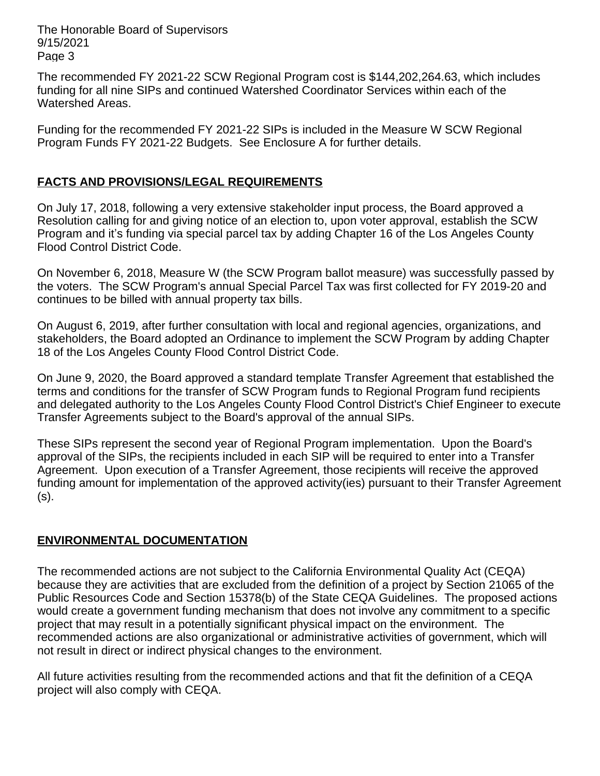The Honorable Board of Supervisors 9/15/2021 Page 3

The recommended FY 2021-22 SCW Regional Program cost is \$144,202,264.63, which includes funding for all nine SIPs and continued Watershed Coordinator Services within each of the Watershed Areas.

Funding for the recommended FY 2021-22 SIPs is included in the Measure W SCW Regional Program Funds FY 2021-22 Budgets. See Enclosure A for further details.

# **FACTS AND PROVISIONS/LEGAL REQUIREMENTS**

On July 17, 2018, following a very extensive stakeholder input process, the Board approved a Resolution calling for and giving notice of an election to, upon voter approval, establish the SCW Program and it's funding via special parcel tax by adding Chapter 16 of the Los Angeles County Flood Control District Code.

On November 6, 2018, Measure W (the SCW Program ballot measure) was successfully passed by the voters. The SCW Program's annual Special Parcel Tax was first collected for FY 2019-20 and continues to be billed with annual property tax bills.

On August 6, 2019, after further consultation with local and regional agencies, organizations, and stakeholders, the Board adopted an Ordinance to implement the SCW Program by adding Chapter 18 of the Los Angeles County Flood Control District Code.

On June 9, 2020, the Board approved a standard template Transfer Agreement that established the terms and conditions for the transfer of SCW Program funds to Regional Program fund recipients and delegated authority to the Los Angeles County Flood Control District's Chief Engineer to execute Transfer Agreements subject to the Board's approval of the annual SIPs.

These SIPs represent the second year of Regional Program implementation. Upon the Board's approval of the SIPs, the recipients included in each SIP will be required to enter into a Transfer Agreement. Upon execution of a Transfer Agreement, those recipients will receive the approved funding amount for implementation of the approved activity(ies) pursuant to their Transfer Agreement (s).

# **ENVIRONMENTAL DOCUMENTATION**

The recommended actions are not subject to the California Environmental Quality Act (CEQA) because they are activities that are excluded from the definition of a project by Section 21065 of the Public Resources Code and Section 15378(b) of the State CEQA Guidelines. The proposed actions would create a government funding mechanism that does not involve any commitment to a specific project that may result in a potentially significant physical impact on the environment. The recommended actions are also organizational or administrative activities of government, which will not result in direct or indirect physical changes to the environment.

All future activities resulting from the recommended actions and that fit the definition of a CEQA project will also comply with CEQA.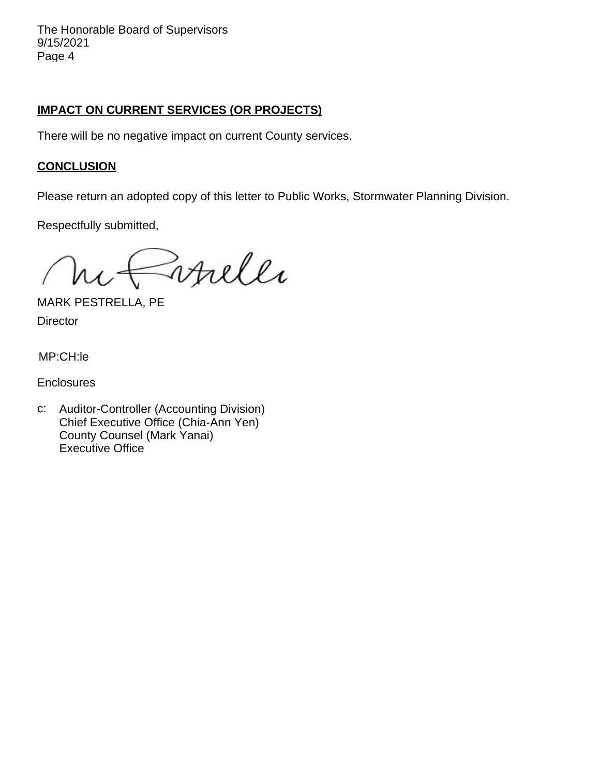The Honorable Board of Supervisors 9/15/2021 Page 4

# **IMPACT ON CURRENT SERVICES (OR PROJECTS)**

There will be no negative impact on current County services.

# **CONCLUSION**

Please return an adopted copy of this letter to Public Works, Stormwater Planning Division.

Respectfully submitted,

*Evhilli* 

MARK PESTRELLA, PE **Director** 

MP:CH:le

**Enclosures** 

c: Auditor-Controller (Accounting Division) Chief Executive Office (Chia-Ann Yen) County Counsel (Mark Yanai) Executive Office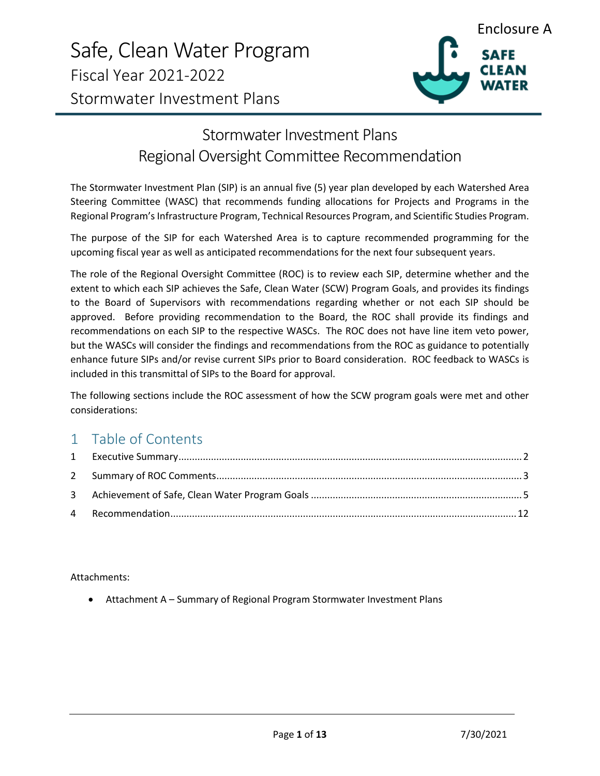

# Stormwater Investment Plans Regional Oversight Committee Recommendation

The Stormwater Investment Plan (SIP) is an annual five (5) year plan developed by each Watershed Area Steering Committee (WASC) that recommends funding allocations for Projects and Programs in the Regional Program's Infrastructure Program, Technical Resources Program, and Scientific Studies Program.

The purpose of the SIP for each Watershed Area is to capture recommended programming for the upcoming fiscal year as well as anticipated recommendations for the next four subsequent years.

The role of the Regional Oversight Committee (ROC) is to review each SIP, determine whether and the extent to which each SIP achieves the Safe, Clean Water (SCW) Program Goals, and provides its findings to the Board of Supervisors with recommendations regarding whether or not each SIP should be approved. Before providing recommendation to the Board, the ROC shall provide its findings and recommendations on each SIP to the respective WASCs. The ROC does not have line item veto power, but the WASCs will consider the findings and recommendations from the ROC as guidance to potentially enhance future SIPs and/or revise current SIPs prior to Board consideration. ROC feedback to WASCs is included in this transmittal of SIPs to the Board for approval.

The following sections include the ROC assessment of how the SCW program goals were met and other considerations:

# 1 Table of Contents

Attachments:

• Attachment A – Summary of Regional Program Stormwater Investment Plans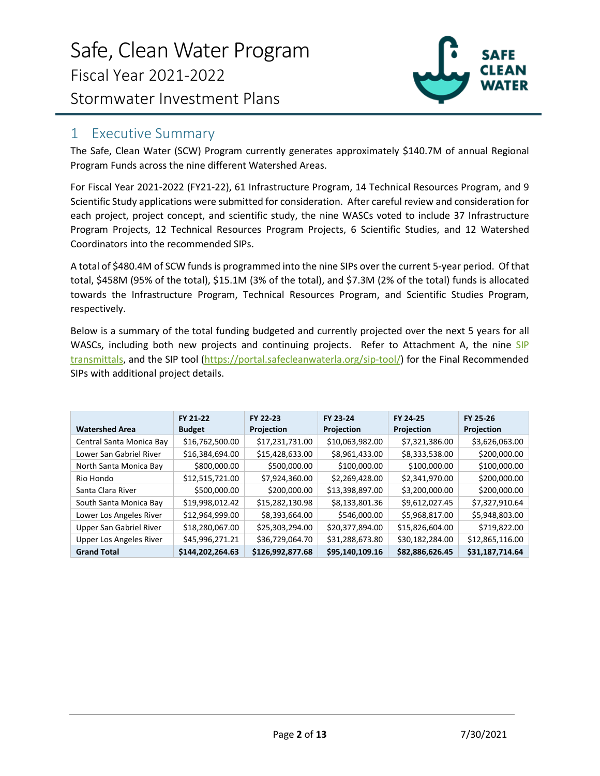

# 1 Executive Summary

The Safe, Clean Water (SCW) Program currently generates approximately \$140.7M of annual Regional Program Funds across the nine different Watershed Areas.

For Fiscal Year 2021-2022 (FY21-22), 61 Infrastructure Program, 14 Technical Resources Program, and 9 Scientific Study applications were submitted for consideration. After careful review and consideration for each project, project concept, and scientific study, the nine WASCs voted to include 37 Infrastructure Program Projects, 12 Technical Resources Program Projects, 6 Scientific Studies, and 12 Watershed Coordinators into the recommended SIPs.

A total of \$480.4M of SCW funds is programmed into the nine SIPs over the current 5-year period. Of that total, \$458M (95% of the total), \$15.1M (3% of the total), and \$7.3M (2% of the total) funds is allocated towards the Infrastructure Program, Technical Resources Program, and Scientific Studies Program, respectively.

Below is a summary of the total funding budgeted and currently projected over the next 5 years for all WASCs, including both new projects and continuing projects. Refer to Attachment A, the nine SIP transmittals, and the SIP tool (https://portal.safecleanwaterla.org/sip-tool/) for the Final Recommended SIPs with additional project details.

|                                | FY 21-22         | FY 22-23         | FY 23-24        | FY 24-25        | FY 25-26        |
|--------------------------------|------------------|------------------|-----------------|-----------------|-----------------|
| <b>Watershed Area</b>          | <b>Budget</b>    | Projection       | Projection      | Projection      | Projection      |
| Central Santa Monica Bay       | \$16,762,500.00  | \$17,231,731.00  | \$10,063,982.00 | \$7,321,386.00  | \$3,626,063.00  |
| Lower San Gabriel River        | \$16,384,694.00  | \$15,428,633.00  | \$8,961,433.00  | \$8,333,538.00  | \$200,000.00    |
| North Santa Monica Bay         | \$800,000.00     | \$500,000.00     | \$100,000.00    | \$100,000.00    | \$100,000.00    |
| Rio Hondo                      | \$12,515,721.00  | \$7,924,360.00   | \$2,269,428.00  | \$2,341,970.00  | \$200,000.00    |
| Santa Clara River              | \$500,000.00     | \$200,000.00     | \$13,398,897.00 | \$3,200,000.00  | \$200,000.00    |
| South Santa Monica Bay         | \$19,998,012.42  | \$15,282,130.98  | \$8,133,801.36  | \$9,612,027.45  | \$7,327,910.64  |
| Lower Los Angeles River        | \$12,964,999.00  | \$8,393,664.00   | \$546,000.00    | \$5,968,817.00  | \$5,948,803.00  |
| Upper San Gabriel River        | \$18,280,067.00  | \$25,303,294.00  | \$20,377,894.00 | \$15,826,604.00 | \$719,822.00    |
| <b>Upper Los Angeles River</b> | \$45,996,271.21  | \$36,729,064.70  | \$31,288,673.80 | \$30,182,284.00 | \$12,865,116.00 |
| <b>Grand Total</b>             | \$144,202,264.63 | \$126,992,877.68 | \$95,140,109.16 | \$82,886,626.45 | \$31,187,714.64 |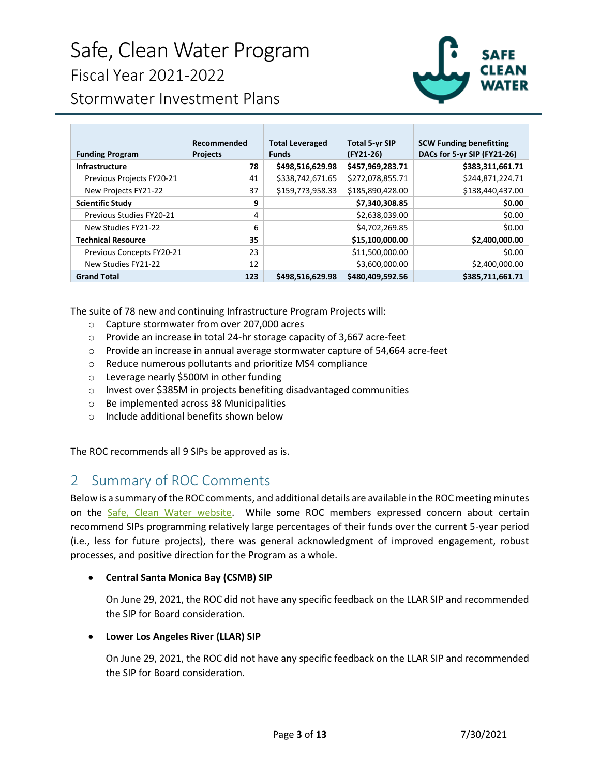# Safe, Clean Water Program Fiscal Year 2021-2022



Stormwater Investment Plans

| <b>Funding Program</b>    | Recommended<br><b>Projects</b> | <b>Total Leveraged</b><br><b>Funds</b> | <b>Total 5-yr SIP</b><br>$(FY21-26)$ | <b>SCW Funding benefitting</b><br>DACs for 5-yr SIP (FY21-26) |
|---------------------------|--------------------------------|----------------------------------------|--------------------------------------|---------------------------------------------------------------|
| <b>Infrastructure</b>     | 78                             | \$498,516,629.98                       | \$457,969,283.71                     | \$383,311,661.71                                              |
| Previous Projects FY20-21 | 41                             | \$338,742,671.65                       | \$272,078,855.71                     | \$244,871,224.71                                              |
| New Projects FY21-22      | 37                             | \$159,773,958.33                       | \$185,890,428.00                     | \$138,440,437.00                                              |
| <b>Scientific Study</b>   | 9                              |                                        | \$7,340,308.85                       | \$0.00                                                        |
| Previous Studies FY20-21  | 4                              |                                        | \$2,638,039.00                       | \$0.00                                                        |
| New Studies FY21-22       | 6                              |                                        | \$4,702,269.85                       | \$0.00                                                        |
| <b>Technical Resource</b> | 35                             |                                        | \$15,100,000.00                      | \$2,400,000.00                                                |
| Previous Concepts FY20-21 | 23                             |                                        | \$11,500,000.00                      | \$0.00                                                        |
| New Studies FY21-22       | 12                             |                                        | \$3,600,000.00                       | \$2,400,000.00                                                |
| <b>Grand Total</b>        | 123                            | \$498,516,629.98                       | \$480,409,592.56                     | \$385,711,661.71                                              |

The suite of 78 new and continuing Infrastructure Program Projects will:

- o Capture stormwater from over 207,000 acres
- o Provide an increase in total 24-hr storage capacity of 3,667 acre-feet
- o Provide an increase in annual average stormwater capture of 54,664 acre-feet
- o Reduce numerous pollutants and prioritize MS4 compliance
- o Leverage nearly \$500M in other funding
- o Invest over \$385M in projects benefiting disadvantaged communities
- o Be implemented across 38 Municipalities
- o Include additional benefits shown below

The ROC recommends all 9 SIPs be approved as is.

# 2 Summary of ROC Comments

Below is a summary of the ROC comments, and additional details are available in the ROC meeting minutes on the Safe, Clean Water website. While some ROC members expressed concern about certain recommend SIPs programming relatively large percentages of their funds over the current 5-year period (i.e., less for future projects), there was general acknowledgment of improved engagement, robust processes, and positive direction for the Program as a whole.

### • **Central Santa Monica Bay (CSMB) SIP**

On June 29, 2021, the ROC did not have any specific feedback on the LLAR SIP and recommended the SIP for Board consideration.

### • **Lower Los Angeles River (LLAR) SIP**

On June 29, 2021, the ROC did not have any specific feedback on the LLAR SIP and recommended the SIP for Board consideration.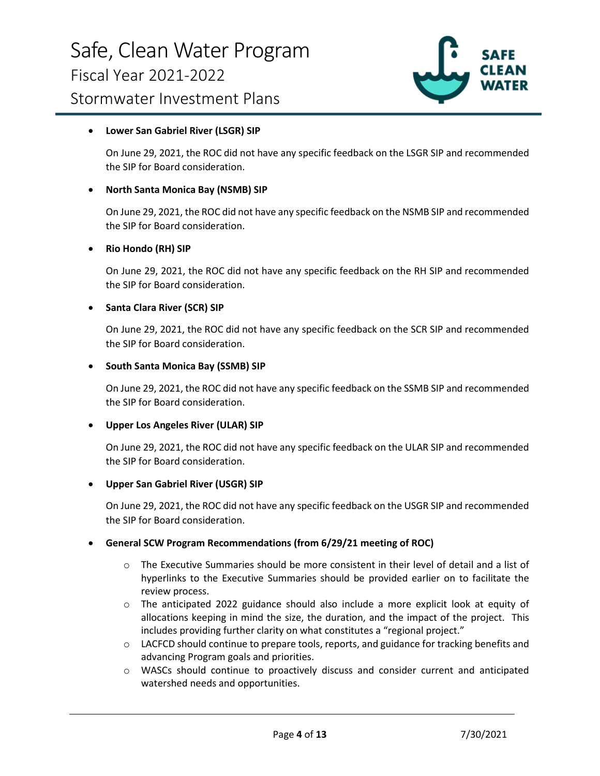

#### • **Lower San Gabriel River (LSGR) SIP**

On June 29, 2021, the ROC did not have any specific feedback on the LSGR SIP and recommended the SIP for Board consideration.

#### • **North Santa Monica Bay (NSMB) SIP**

On June 29, 2021, the ROC did not have any specific feedback on the NSMB SIP and recommended the SIP for Board consideration.

#### • **Rio Hondo (RH) SIP**

On June 29, 2021, the ROC did not have any specific feedback on the RH SIP and recommended the SIP for Board consideration.

#### • **Santa Clara River (SCR) SIP**

On June 29, 2021, the ROC did not have any specific feedback on the SCR SIP and recommended the SIP for Board consideration.

#### • **South Santa Monica Bay (SSMB) SIP**

On June 29, 2021, the ROC did not have any specific feedback on the SSMB SIP and recommended the SIP for Board consideration.

#### • **Upper Los Angeles River (ULAR) SIP**

On June 29, 2021, the ROC did not have any specific feedback on the ULAR SIP and recommended the SIP for Board consideration.

#### • **Upper San Gabriel River (USGR) SIP**

On June 29, 2021, the ROC did not have any specific feedback on the USGR SIP and recommended the SIP for Board consideration.

#### • **General SCW Program Recommendations (from 6/29/21 meeting of ROC)**

- o The Executive Summaries should be more consistent in their level of detail and a list of hyperlinks to the Executive Summaries should be provided earlier on to facilitate the review process.
- $\circ$  The anticipated 2022 guidance should also include a more explicit look at equity of allocations keeping in mind the size, the duration, and the impact of the project. This includes providing further clarity on what constitutes a "regional project."
- o LACFCD should continue to prepare tools, reports, and guidance for tracking benefits and advancing Program goals and priorities.
- o WASCs should continue to proactively discuss and consider current and anticipated watershed needs and opportunities.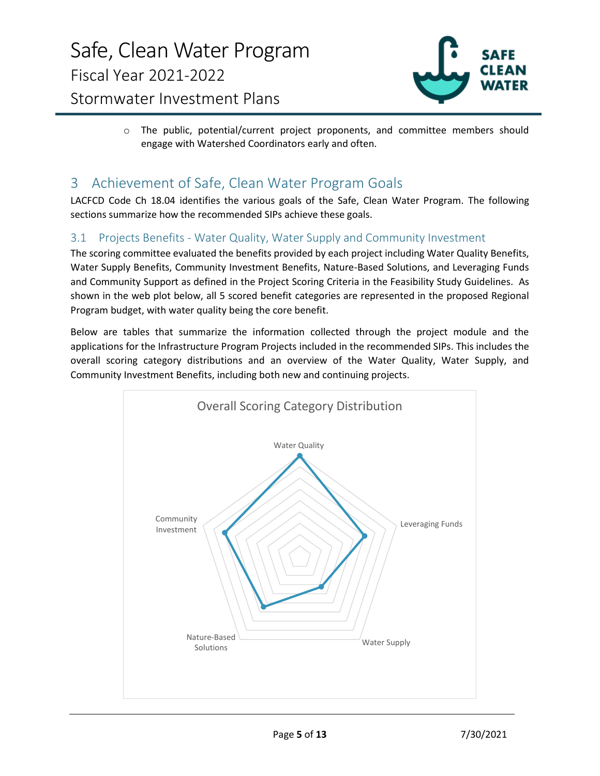

 $\circ$  The public, potential/current project proponents, and committee members should engage with Watershed Coordinators early and often.

# 3 Achievement of Safe, Clean Water Program Goals

LACFCD Code Ch 18.04 identifies the various goals of the Safe, Clean Water Program. The following sections summarize how the recommended SIPs achieve these goals.

# 3.1 Projects Benefits - Water Quality, Water Supply and Community Investment

The scoring committee evaluated the benefits provided by each project including Water Quality Benefits, Water Supply Benefits, Community Investment Benefits, Nature-Based Solutions, and Leveraging Funds and Community Support as defined in the Project Scoring Criteria in the Feasibility Study Guidelines. As shown in the web plot below, all 5 scored benefit categories are represented in the proposed Regional Program budget, with water quality being the core benefit.

Below are tables that summarize the information collected through the project module and the applications for the Infrastructure Program Projects included in the recommended SIPs. This includes the overall scoring category distributions and an overview of the Water Quality, Water Supply, and Community Investment Benefits, including both new and continuing projects.

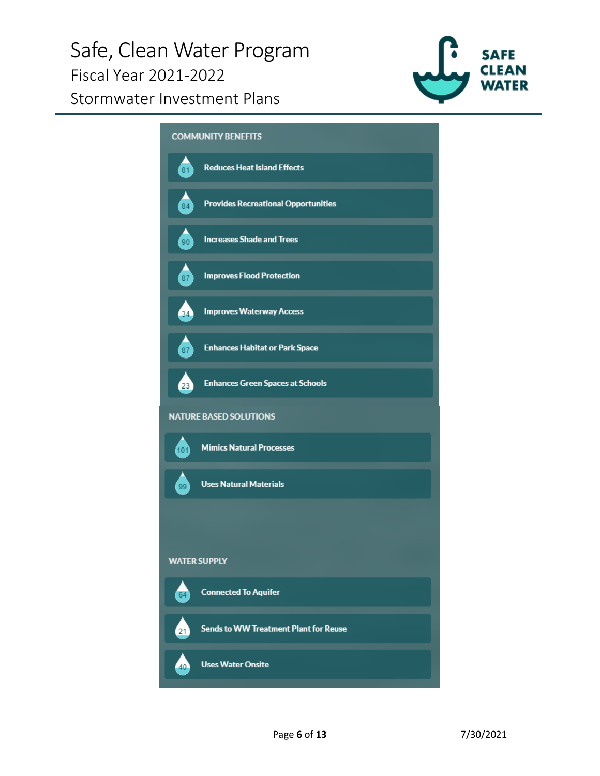# Safe, Clean Water Program Fiscal Year 2021-2022 Stormwater Investment Plans



**COMMUNITY BENEFITS Reduces Heat Island Effects**  $\overline{81}$ **Provides Recreational Opportunities Increases Shade and Trees**  $00$ **Improves Flood Protection** 87 **Improves Waterway Access**  $34$ **Enhances Habitat or Park Space** 87 **Enhances Green Spaces at Schools**  $\sqrt{23}$ **NATURE BASED SOLUTIONS Mimics Natural Processes** 101 **Uses Natural Materials** 99 **WATER SUPPLY Connected To Aquifer Sends to WW Treatment Plant for Reuse** 21 **Uses Water Onsite**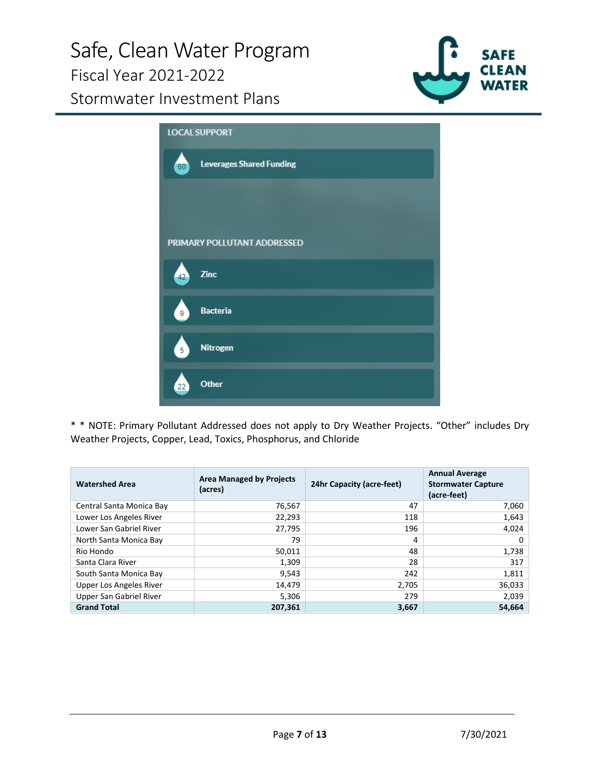Safe, Clean Water Program Fiscal Year 2021-2022 Stormwater Investment Plans



|    | <b>LOCAL SUPPORT</b>            |  |
|----|---------------------------------|--|
| 60 | <b>Leverages Shared Funding</b> |  |
|    |                                 |  |
|    |                                 |  |
|    | PRIMARY POLLUTANT ADDRESSED     |  |
|    | <b>Zinc</b>                     |  |
| 9  | <b>Bacteria</b>                 |  |
| 5  | Nitrogen                        |  |
| 22 | Other                           |  |

\* \* NOTE: Primary Pollutant Addressed does not apply to Dry Weather Projects. "Other" includes Dry Weather Projects, Copper, Lead, Toxics, Phosphorus, and Chloride

| <b>Watershed Area</b>          | <b>Area Managed by Projects</b><br>(acres) | 24hr Capacity (acre-feet) | <b>Annual Average</b><br><b>Stormwater Capture</b><br>(acre-feet) |
|--------------------------------|--------------------------------------------|---------------------------|-------------------------------------------------------------------|
| Central Santa Monica Bay       | 76,567                                     | 47                        | 7,060                                                             |
| Lower Los Angeles River        | 22,293                                     | 118                       | 1,643                                                             |
| Lower San Gabriel River        | 27,795                                     | 196                       | 4,024                                                             |
| North Santa Monica Bay         | 79                                         | 4                         | 0                                                                 |
| Rio Hondo                      | 50,011                                     | 48                        | 1,738                                                             |
| Santa Clara River              | 1,309                                      | 28                        | 317                                                               |
| South Santa Monica Bay         | 9,543                                      | 242                       | 1,811                                                             |
| <b>Upper Los Angeles River</b> | 14,479                                     | 2,705                     | 36,033                                                            |
| Upper San Gabriel River        | 5,306                                      | 279                       | 2,039                                                             |
| <b>Grand Total</b>             | 207,361                                    | 3,667                     | 54,664                                                            |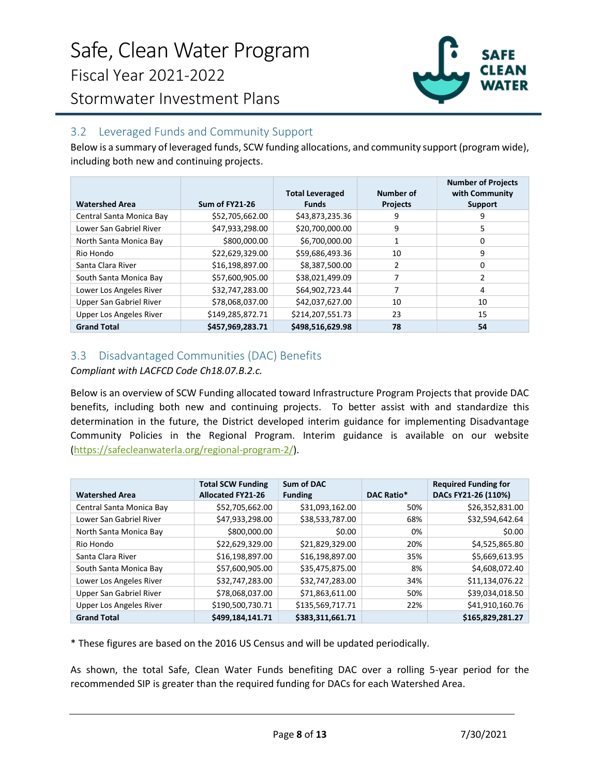

# 3.2 Leveraged Funds and Community Support

Stormwater Investment Plans

Below is a summary of leveraged funds, SCW funding allocations, and community support (program wide), including both new and continuing projects.

| <b>Watershed Area</b>    | <b>Sum of FY21-26</b> | <b>Total Leveraged</b><br><b>Funds</b> | Number of<br><b>Projects</b> | <b>Number of Projects</b><br>with Community<br><b>Support</b> |
|--------------------------|-----------------------|----------------------------------------|------------------------------|---------------------------------------------------------------|
| Central Santa Monica Bay | \$52,705,662.00       | \$43,873,235.36                        | 9                            | 9                                                             |
| Lower San Gabriel River  | \$47,933,298.00       | \$20,700,000.00                        | 9                            | 5                                                             |
| North Santa Monica Bay   | \$800,000.00          | \$6,700,000.00                         |                              | 0                                                             |
| Rio Hondo                | \$22,629,329.00       | \$59,686,493.36                        | 10                           | 9                                                             |
| Santa Clara River        | \$16,198,897.00       | \$8,387,500.00                         | 2                            | 0                                                             |
| South Santa Monica Bay   | \$57,600,905.00       | \$38,021,499.09                        |                              | 2                                                             |
| Lower Los Angeles River  | \$32,747,283.00       | \$64,902,723.44                        |                              | 4                                                             |
| Upper San Gabriel River  | \$78,068,037.00       | \$42,037,627.00                        | 10                           | 10                                                            |
| Upper Los Angeles River  | \$149,285,872.71      | \$214,207,551.73                       | 23                           | 15                                                            |
| <b>Grand Total</b>       | \$457,969,283.71      | \$498.516.629.98                       | 78                           | 54                                                            |

# 3.3 Disadvantaged Communities (DAC) Benefits

*Compliant with LACFCD Code Ch18.07.B.2.c.*

Below is an overview of SCW Funding allocated toward Infrastructure Program Projects that provide DAC benefits, including both new and continuing projects. To better assist with and standardize this determination in the future, the District developed interim guidance for implementing Disadvantage Community Policies in the Regional Program. Interim guidance is available on our website (https://safecleanwaterla.org/regional-program-2/).

| <b>Watershed Area</b>    | <b>Total SCW Funding</b><br><b>Allocated FY21-26</b> | Sum of DAC<br><b>Funding</b> | <b>DAC Ratio*</b> | <b>Required Funding for</b><br>DACs FY21-26 (110%) |
|--------------------------|------------------------------------------------------|------------------------------|-------------------|----------------------------------------------------|
|                          |                                                      |                              |                   |                                                    |
| Central Santa Monica Bay | \$52,705,662.00                                      | \$31,093,162.00              | 50%               | \$26,352,831.00                                    |
| Lower San Gabriel River  | \$47,933,298.00                                      | \$38,533,787.00              | 68%               | \$32,594,642.64                                    |
| North Santa Monica Bay   | \$800,000.00                                         | \$0.00                       | 0%                | \$0.00                                             |
| Rio Hondo                | \$22,629,329.00                                      | \$21,829,329.00              | 20%               | \$4,525,865.80                                     |
| Santa Clara River        | \$16,198,897.00                                      | \$16,198,897.00              | 35%               | \$5,669,613.95                                     |
| South Santa Monica Bay   | \$57,600,905.00                                      | \$35,475,875.00              | 8%                | \$4,608,072.40                                     |
| Lower Los Angeles River  | \$32,747,283.00                                      | \$32,747,283.00              | 34%               | \$11,134,076.22                                    |
| Upper San Gabriel River  | \$78,068,037.00                                      | \$71,863,611.00              | 50%               | \$39,034,018.50                                    |
| Upper Los Angeles River  | \$190,500,730.71                                     | \$135,569,717.71             | 22%               | \$41,910,160.76                                    |
| <b>Grand Total</b>       | \$499,184,141.71                                     | \$383,311,661.71             |                   | \$165,829,281.27                                   |

\* These figures are based on the 2016 US Census and will be updated periodically.

As shown, the total Safe, Clean Water Funds benefiting DAC over a rolling 5-year period for the recommended SIP is greater than the required funding for DACs for each Watershed Area.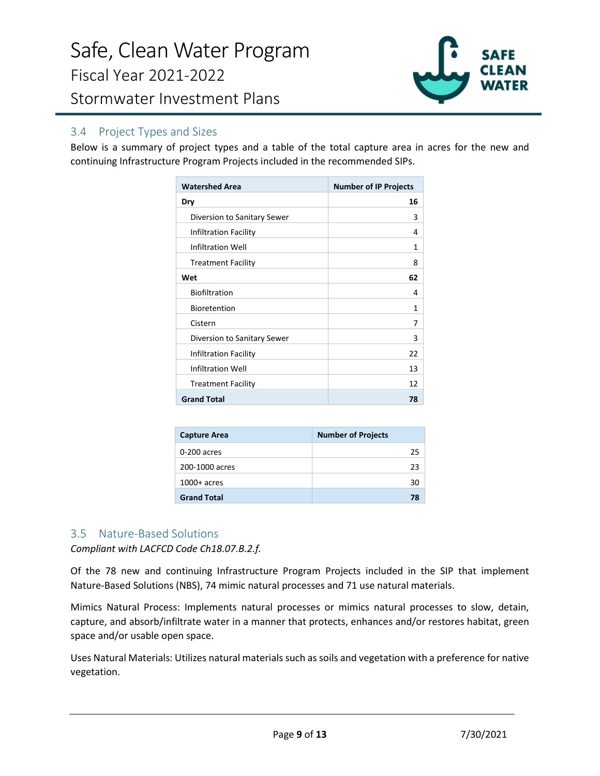

# 3.4 Project Types and Sizes

Below is a summary of project types and a table of the total capture area in acres for the new and continuing Infrastructure Program Projects included in the recommended SIPs.

| <b>Watershed Area</b>       | <b>Number of IP Projects</b> |
|-----------------------------|------------------------------|
| Dry                         | 16                           |
| Diversion to Sanitary Sewer | 3                            |
| Infiltration Facility       | 4                            |
| <b>Infiltration Well</b>    | 1                            |
| <b>Treatment Facility</b>   | 8                            |
| Wet                         | 62                           |
| <b>Biofiltration</b>        | 4                            |
| <b>Bioretention</b>         | 1                            |
| Cistern                     | 7                            |
| Diversion to Sanitary Sewer | 3                            |
| Infiltration Facility       | 22                           |
| <b>Infiltration Well</b>    | 13                           |
| <b>Treatment Facility</b>   | 12                           |
| <b>Grand Total</b>          | 78                           |

| <b>Capture Area</b> | <b>Number of Projects</b> |
|---------------------|---------------------------|
| $0-200$ acres       | 25                        |
| 200-1000 acres      | 23                        |
| $1000+$ acres       | 30                        |
| <b>Grand Total</b>  | 78                        |

### 3.5 Nature-Based Solutions

*Compliant with LACFCD Code Ch18.07.B.2.f.*

Of the 78 new and continuing Infrastructure Program Projects included in the SIP that implement Nature-Based Solutions (NBS), 74 mimic natural processes and 71 use natural materials.

Mimics Natural Process: Implements natural processes or mimics natural processes to slow, detain, capture, and absorb/infiltrate water in a manner that protects, enhances and/or restores habitat, green space and/or usable open space.

Uses Natural Materials: Utilizes natural materials such as soils and vegetation with a preference for native vegetation.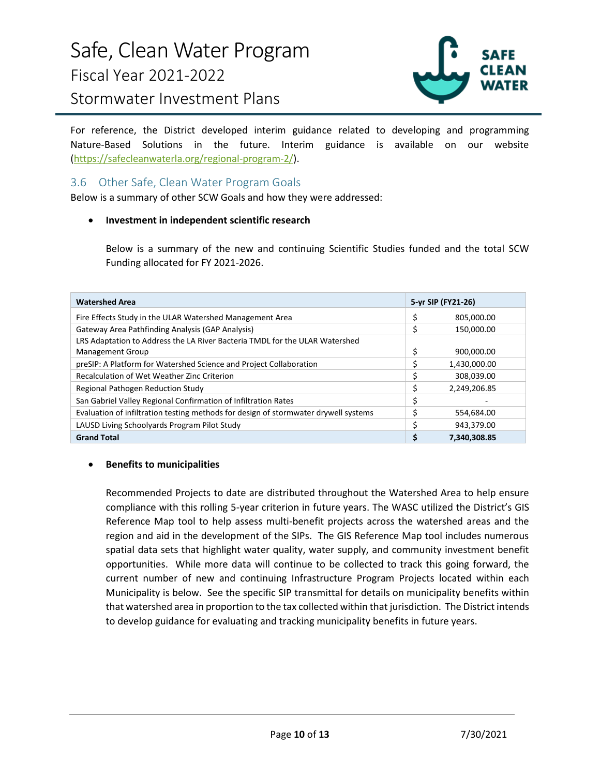

Stormwater Investment Plans

For reference, the District developed interim guidance related to developing and programming Nature-Based Solutions in the future. Interim guidance is available on our website (https://safecleanwaterla.org/regional-program-2/).

# 3.6 Other Safe, Clean Water Program Goals

Below is a summary of other SCW Goals and how they were addressed:

#### • **Investment in independent scientific research**

Below is a summary of the new and continuing Scientific Studies funded and the total SCW Funding allocated for FY 2021-2026.

| <b>Watershed Area</b>                                                               |    | 5-yr SIP (FY21-26) |
|-------------------------------------------------------------------------------------|----|--------------------|
| Fire Effects Study in the ULAR Watershed Management Area                            | \$ | 805,000.00         |
| Gateway Area Pathfinding Analysis (GAP Analysis)                                    | \$ | 150,000.00         |
| LRS Adaptation to Address the LA River Bacteria TMDL for the ULAR Watershed         |    |                    |
| <b>Management Group</b>                                                             | \$ | 900,000.00         |
| preSIP: A Platform for Watershed Science and Project Collaboration                  |    | 1,430,000.00       |
| Recalculation of Wet Weather Zinc Criterion                                         |    | 308,039.00         |
| Regional Pathogen Reduction Study                                                   | Ś  | 2,249,206.85       |
| San Gabriel Valley Regional Confirmation of Infiltration Rates                      | \$ |                    |
| Evaluation of infiltration testing methods for design of stormwater drywell systems |    | 554,684.00         |
| LAUSD Living Schoolyards Program Pilot Study                                        |    | 943,379.00         |
| <b>Grand Total</b>                                                                  |    | 7.340.308.85       |

#### • **Benefits to municipalities**

Recommended Projects to date are distributed throughout the Watershed Area to help ensure compliance with this rolling 5-year criterion in future years. The WASC utilized the District's GIS Reference Map tool to help assess multi-benefit projects across the watershed areas and the region and aid in the development of the SIPs. The GIS Reference Map tool includes numerous spatial data sets that highlight water quality, water supply, and community investment benefit opportunities. While more data will continue to be collected to track this going forward, the current number of new and continuing Infrastructure Program Projects located within each Municipality is below. See the specific SIP transmittal for details on municipality benefits within that watershed area in proportion to the tax collected within that jurisdiction. The District intends to develop guidance for evaluating and tracking municipality benefits in future years.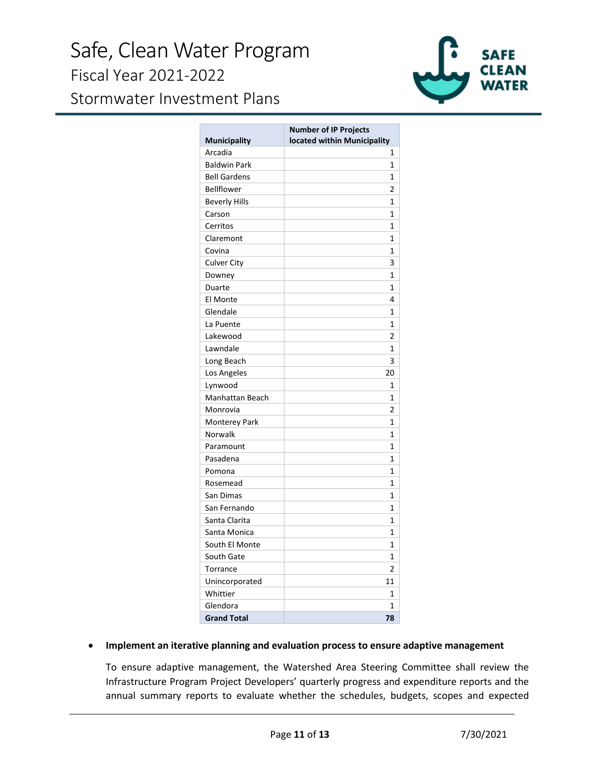# Safe, Clean Water Program Fiscal Year 2021-2022 Stormwater Investment Plans



|                                | <b>Number of IP Projects</b><br>located within Municipality |
|--------------------------------|-------------------------------------------------------------|
| <b>Municipality</b><br>Arcadia | 1                                                           |
| <b>Baldwin Park</b>            | 1                                                           |
| <b>Bell Gardens</b>            | 1                                                           |
| Bellflower                     | 2                                                           |
| <b>Beverly Hills</b>           | 1                                                           |
| Carson                         | 1                                                           |
| Cerritos                       | 1                                                           |
| Claremont                      | 1                                                           |
| Covina                         | 1                                                           |
| <b>Culver City</b>             | 3                                                           |
| Downey                         | 1                                                           |
| Duarte                         | 1                                                           |
| El Monte                       | 4                                                           |
| Glendale                       | 1                                                           |
| La Puente                      | 1                                                           |
| Lakewood                       | 2                                                           |
| Lawndale                       | 1                                                           |
| Long Beach                     | 3                                                           |
| Los Angeles                    | 20                                                          |
| Lynwood                        | 1                                                           |
| Manhattan Beach                | 1                                                           |
| Monrovia                       | 2                                                           |
| <b>Monterey Park</b>           | $\mathbf{1}$                                                |
| Norwalk                        | $\mathbf{1}$                                                |
| Paramount                      | 1                                                           |
| Pasadena                       | $\mathbf{1}$                                                |
| Pomona                         | 1                                                           |
| Rosemead                       | 1                                                           |
| San Dimas                      | $\mathbf{1}$                                                |
| San Fernando                   | 1                                                           |
| Santa Clarita                  | 1                                                           |
| Santa Monica                   | $\mathbf{1}$                                                |
| South El Monte                 | 1                                                           |
| South Gate                     | 1                                                           |
| Torrance                       | $\overline{2}$                                              |
| Unincorporated                 | 11                                                          |
| Whittier                       | 1                                                           |
| Glendora                       | $\mathbf{1}$                                                |
| <b>Grand Total</b>             | 78                                                          |

#### • **Implement an iterative planning and evaluation process to ensure adaptive management**

To ensure adaptive management, the Watershed Area Steering Committee shall review the Infrastructure Program Project Developers' quarterly progress and expenditure reports and the annual summary reports to evaluate whether the schedules, budgets, scopes and expected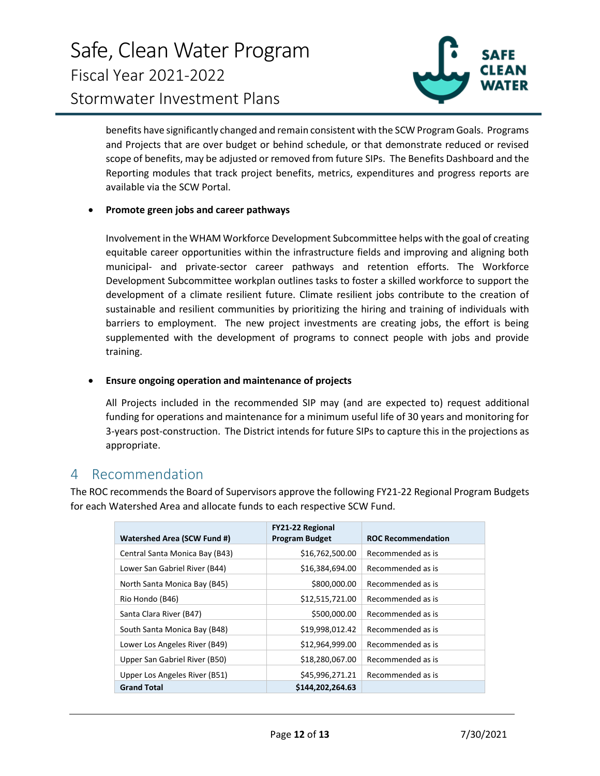

benefits have significantly changed and remain consistent with the SCW Program Goals. Programs and Projects that are over budget or behind schedule, or that demonstrate reduced or revised scope of benefits, may be adjusted or removed from future SIPs. The Benefits Dashboard and the Reporting modules that track project benefits, metrics, expenditures and progress reports are available via the SCW Portal.

### • **Promote green jobs and career pathways**

Involvement in the WHAM Workforce Development Subcommittee helps with the goal of creating equitable career opportunities within the infrastructure fields and improving and aligning both municipal- and private-sector career pathways and retention efforts. The Workforce Development Subcommittee workplan outlines tasks to foster a skilled workforce to support the development of a climate resilient future. Climate resilient jobs contribute to the creation of sustainable and resilient communities by prioritizing the hiring and training of individuals with barriers to employment. The new project investments are creating jobs, the effort is being supplemented with the development of programs to connect people with jobs and provide training.

#### • **Ensure ongoing operation and maintenance of projects**

All Projects included in the recommended SIP may (and are expected to) request additional funding for operations and maintenance for a minimum useful life of 30 years and monitoring for 3-years post-construction. The District intends for future SIPs to capture this in the projections as appropriate.

# 4 Recommendation

The ROC recommends the Board of Supervisors approve the following FY21-22 Regional Program Budgets for each Watershed Area and allocate funds to each respective SCW Fund.

| <b>Watershed Area (SCW Fund #)</b> | <b>FY21-22 Regional</b><br><b>Program Budget</b> | <b>ROC Recommendation</b> |
|------------------------------------|--------------------------------------------------|---------------------------|
| Central Santa Monica Bay (B43)     | \$16,762,500.00                                  | Recommended as is         |
| Lower San Gabriel River (B44)      | \$16,384,694.00                                  | Recommended as is         |
| North Santa Monica Bay (B45)       | \$800,000.00                                     | Recommended as is         |
| Rio Hondo (B46)                    | \$12,515,721.00                                  | Recommended as is         |
| Santa Clara River (B47)            | \$500,000.00                                     | Recommended as is         |
| South Santa Monica Bay (B48)       | \$19,998,012.42                                  | Recommended as is         |
| Lower Los Angeles River (B49)      | \$12,964,999.00                                  | Recommended as is         |
| Upper San Gabriel River (B50)      | \$18,280,067.00                                  | Recommended as is         |
| Upper Los Angeles River (B51)      | \$45,996,271.21                                  | Recommended as is         |
| <b>Grand Total</b>                 | \$144,202,264.63                                 |                           |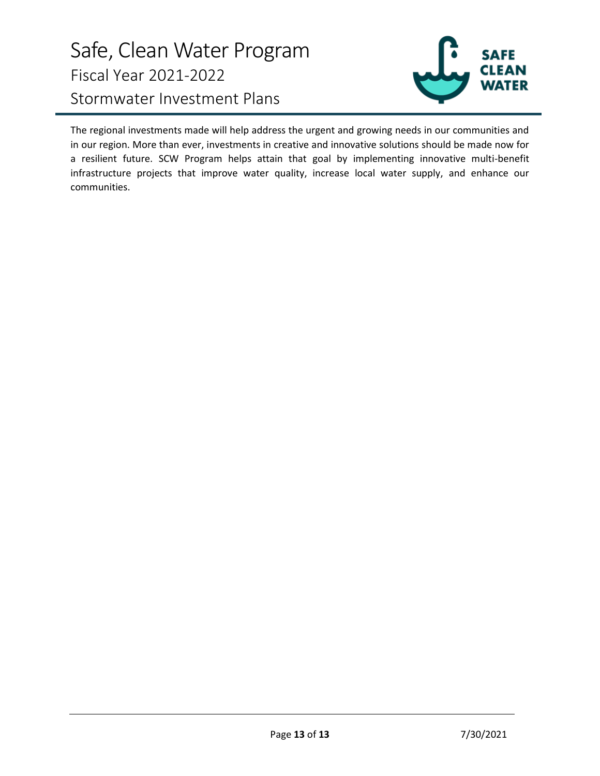# Safe, Clean Water Program Fiscal Year 2021-2022 Stormwater Investment Plans



The regional investments made will help address the urgent and growing needs in our communities and in our region. More than ever, investments in creative and innovative solutions should be made now for a resilient future. SCW Program helps attain that goal by implementing innovative multi-benefit infrastructure projects that improve water quality, increase local water supply, and enhance our communities.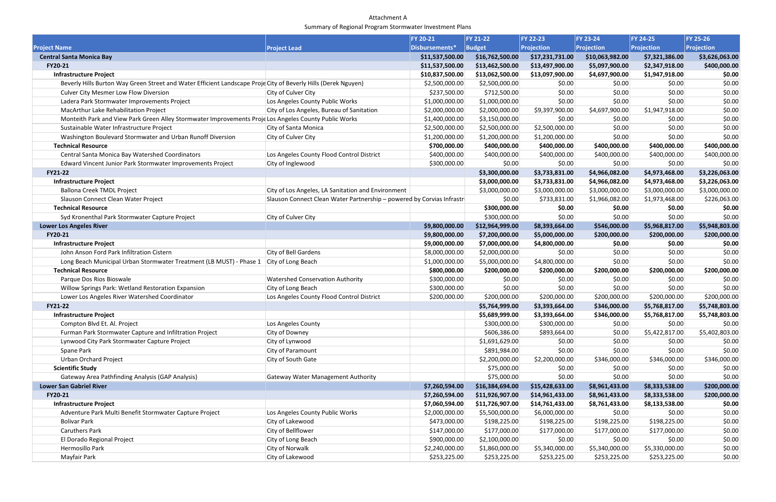## Attachment A Summary of Regional Program Stormwater Investment Plans

|                                                                                                                |                                                                       | <b>FY 20-21</b> | <b>FY 21-22</b> | <b>FY 22-23</b>   | <b>FY 23-24</b> | <b>FY 24-25</b> | <b>FY 25-26</b>   |
|----------------------------------------------------------------------------------------------------------------|-----------------------------------------------------------------------|-----------------|-----------------|-------------------|-----------------|-----------------|-------------------|
| <b>Project Name</b>                                                                                            | <b>Project Lead</b>                                                   | Disbursements*  | Budget          | <b>Projection</b> | Projection      | Projection      | <b>Projection</b> |
| <b>Central Santa Monica Bay</b>                                                                                |                                                                       | \$11,537,500.00 | \$16,762,500.00 | \$17,231,731.00   | \$10,063,982.00 | \$7,321,386.00  | \$3,626,063.00    |
| FY20-21                                                                                                        |                                                                       | \$11,537,500.00 | \$13,462,500.00 | \$13,497,900.00   | \$5,097,900.00  | \$2,347,918.00  | \$400,000.00      |
| <b>Infrastructure Project</b>                                                                                  |                                                                       | \$10,837,500.00 | \$13,062,500.00 | \$13,097,900.00   | \$4,697,900.00  | \$1,947,918.00  | \$0.00            |
| Beverly Hills Burton Way Green Street and Water Efficient Landscape Proje City of Beverly Hills (Derek Nguyen) |                                                                       | \$2,500,000.00  | \$2,500,000.00  | \$0.00            | \$0.00          | \$0.00          | \$0.00            |
| <b>Culver City Mesmer Low Flow Diversion</b>                                                                   | City of Culver City                                                   | \$237,500.00    | \$712,500.00    | \$0.00            | \$0.00          | \$0.00          | \$0.00            |
| Ladera Park Stormwater Improvements Project                                                                    | Los Angeles County Public Works                                       | \$1,000,000.00  | \$1,000,000.00  | \$0.00            | \$0.00          | \$0.00          | \$0.00            |
| MacArthur Lake Rehabilitation Project                                                                          | City of Los Angeles, Bureau of Sanitation                             | \$2,000,000.00  | \$2,000,000.00  | \$9,397,900.00    | \$4,697,900.00  | \$1,947,918.00  | \$0.00            |
| Monteith Park and View Park Green Alley Stormwater Improvements Proje Los Angeles County Public Works          |                                                                       | \$1,400,000.00  | \$3,150,000.00  | \$0.00            | \$0.00          | \$0.00          | \$0.00            |
| Sustainable Water Infrastructure Project                                                                       | City of Santa Monica                                                  | \$2,500,000.00  | \$2,500,000.00  | \$2,500,000.00    | \$0.00          | \$0.00          | \$0.00            |
| Washington Boulevard Stormwater and Urban Runoff Diversion                                                     | City of Culver City                                                   | \$1,200,000.00  | \$1,200,000.00  | \$1,200,000.00    | \$0.00          | \$0.00          | \$0.00            |
| <b>Technical Resource</b>                                                                                      |                                                                       | \$700,000.00    | \$400,000.00    | \$400,000.00      | \$400,000.00    | \$400,000.00    | \$400,000.00      |
| Central Santa Monica Bay Watershed Coordinators                                                                | Los Angeles County Flood Control District                             | \$400,000.00    | \$400,000.00    | \$400,000.00      | \$400,000.00    | \$400,000.00    | \$400,000.00      |
| Edward Vincent Junior Park Stormwater Improvements Project                                                     | City of Inglewood                                                     | \$300,000.00    | \$0.00          | \$0.00            | \$0.00          | \$0.00          | \$0.00            |
| <b>FY21-22</b>                                                                                                 |                                                                       |                 | \$3,300,000.00  | \$3,733,831.00    | \$4,966,082.00  | \$4,973,468.00  | \$3,226,063.00    |
| <b>Infrastructure Project</b>                                                                                  |                                                                       |                 | \$3,000,000.00  | \$3,733,831.00    | \$4,966,082.00  | \$4,973,468.00  | \$3,226,063.00    |
| <b>Ballona Creek TMDL Project</b>                                                                              | City of Los Angeles, LA Sanitation and Environment                    |                 | \$3,000,000.00  | \$3,000,000.00    | \$3,000,000.00  | \$3,000,000.00  | \$3,000,000.00    |
| Slauson Connect Clean Water Project                                                                            | Slauson Connect Clean Water Partnership - powered by Corvias Infrastr |                 | \$0.00          | \$733,831.00      | \$1,966,082.00  | \$1,973,468.00  | \$226,063.00      |
| <b>Technical Resource</b>                                                                                      |                                                                       |                 | \$300,000.00    | \$0.00            | \$0.00          | \$0.00          | \$0.00            |
| Syd Kronenthal Park Stormwater Capture Project                                                                 | City of Culver City                                                   |                 | \$300,000.00    | \$0.00            | \$0.00          | \$0.00          | \$0.00            |
| <b>Lower Los Angeles River</b>                                                                                 |                                                                       | \$9,800,000.00  | \$12,964,999.00 | \$8,393,664.00    | \$546,000.00    | \$5,968,817.00  | \$5,948,803.00    |
| FY20-21                                                                                                        |                                                                       | \$9,800,000.00  | \$7,200,000.00  | \$5,000,000.00    | \$200,000.00    | \$200,000.00    | \$200,000.00      |
| <b>Infrastructure Project</b>                                                                                  |                                                                       | \$9,000,000.00  | \$7,000,000.00  | \$4,800,000.00    | \$0.00          | \$0.00          | \$0.00            |
| John Anson Ford Park Infiltration Cistern                                                                      | City of Bell Gardens                                                  | \$8,000,000.00  | \$2,000,000.00  | \$0.00            | \$0.00          | \$0.00          | \$0.00            |
| Long Beach Municipal Urban Stormwater Treatment (LB MUST) - Phase 1                                            | City of Long Beach                                                    | \$1,000,000.00  | \$5,000,000.00  | \$4,800,000.00    | \$0.00          | \$0.00          | \$0.00            |
| <b>Technical Resource</b>                                                                                      |                                                                       | \$800,000.00    | \$200,000.00    | \$200,000.00      | \$200,000.00    | \$200,000.00    | \$200,000.00      |
| Parque Dos Rios Bioswale                                                                                       | <b>Watershed Conservation Authority</b>                               | \$300,000.00    | \$0.00          | \$0.00            | \$0.00          | \$0.00          | \$0.00            |
| Willow Springs Park: Wetland Restoration Expansion                                                             | City of Long Beach                                                    | \$300,000.00    | \$0.00          | \$0.00            | \$0.00          | \$0.00          | \$0.00            |
| Lower Los Angeles River Watershed Coordinator                                                                  | Los Angeles County Flood Control District                             | \$200,000.00    | \$200,000.00    | \$200,000.00      | \$200,000.00    | \$200,000.00    | \$200,000.00      |
| FY21-22                                                                                                        |                                                                       |                 | \$5,764,999.00  | \$3,393,664.00    | \$346,000.00    | \$5,768,817.00  | \$5,748,803.00    |
| <b>Infrastructure Project</b>                                                                                  |                                                                       |                 | \$5,689,999.00  | \$3,393,664.00    | \$346,000.00    | \$5,768,817.00  | \$5,748,803.00    |
| Compton Blvd Et. Al. Project                                                                                   | Los Angeles County                                                    |                 | \$300,000.00    | \$300,000.00      | \$0.00          | \$0.00          | \$0.00            |
| Furman Park Stormwater Capture and Infiltration Project                                                        | City of Downey                                                        |                 | \$606,386.00    | \$893,664.00      | \$0.00          | \$5,422,817.00  | \$5,402,803.00    |
| Lynwood City Park Stormwater Capture Project                                                                   | City of Lynwood                                                       |                 | \$1,691,629.00  | \$0.00            | \$0.00          | \$0.00          | \$0.00            |
| Spane Park                                                                                                     | City of Paramount                                                     |                 | \$891,984.00    | \$0.00            | \$0.00          | \$0.00          | \$0.00            |
| <b>Urban Orchard Project</b>                                                                                   | City of South Gate                                                    |                 | \$2,200,000.00  | \$2,200,000.00    | \$346,000.00    | \$346,000.00    | \$346,000.00      |
| <b>Scientific Study</b>                                                                                        |                                                                       |                 | \$75,000.00     | \$0.00            | \$0.00          | \$0.00          | \$0.00            |
| Gateway Area Pathfinding Analysis (GAP Analysis)                                                               | <b>Gateway Water Management Authority</b>                             |                 | \$75,000.00     | \$0.00            | \$0.00          | \$0.00          | \$0.00            |
| <b>Lower San Gabriel River</b>                                                                                 |                                                                       | \$7,260,594.00  | \$16,384,694.00 | \$15,428,633.00   | \$8,961,433.00  | \$8,333,538.00  | \$200,000.00      |
| FY20-21                                                                                                        |                                                                       | \$7,260,594.00  | \$11,926,907.00 | \$14,961,433.00   | \$8,961,433.00  | \$8,333,538.00  | \$200,000.00      |
| <b>Infrastructure Project</b>                                                                                  |                                                                       | \$7,060,594.00  | \$11,726,907.00 | \$14,761,433.00   | \$8,761,433.00  | \$8,133,538.00  | \$0.00            |
| Adventure Park Multi Benefit Stormwater Capture Project                                                        | Los Angeles County Public Works                                       | \$2,000,000.00  | \$5,500,000.00  | \$6,000,000.00    | \$0.00          | \$0.00          | \$0.00            |
| <b>Bolivar Park</b>                                                                                            | City of Lakewood                                                      | \$473,000.00    | \$198,225.00    | \$198,225.00      | \$198,225.00    | \$198,225.00    | \$0.00            |
| Caruthers Park                                                                                                 | City of Bellflower                                                    | \$147,000.00    | \$177,000.00    | \$177,000.00      | \$177,000.00    | \$177,000.00    | \$0.00            |
| El Dorado Regional Project                                                                                     | City of Long Beach                                                    | \$900,000.00    | \$2,100,000.00  | \$0.00            | \$0.00          | \$0.00          | \$0.00            |
| Hermosillo Park                                                                                                | City of Norwalk                                                       | \$2,240,000.00  | \$1,860,000.00  | \$5,340,000.00    | \$5,340,000.00  | \$5,330,000.00  | \$0.00            |
| Mayfair Park                                                                                                   | City of Lakewood                                                      | \$253,225.00    | \$253,225.00    | \$253,225.00      | \$253,225.00    | \$253,225.00    | \$0.00            |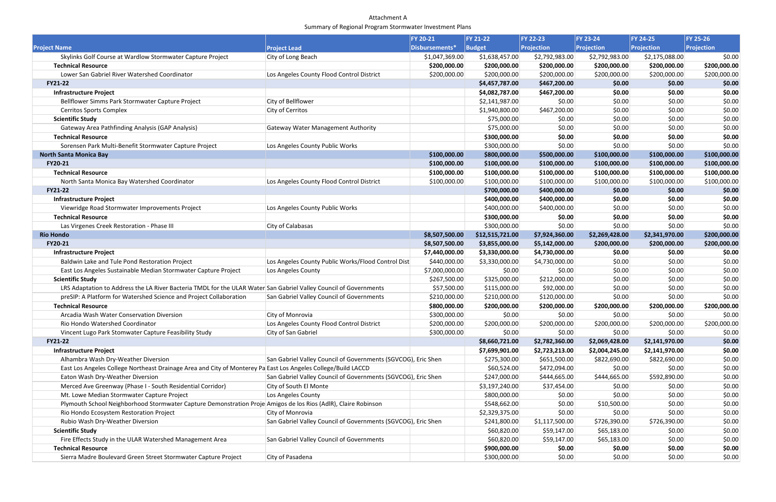Attachment A Summary of Regional Program Stormwater Investment Plans

|                                                                                                                   |                                                               | <b>FY 20-21</b> | <b>FY 21-22</b> | FY 22-23          | FY 23-24          | <b>FY 24-25</b> | <b>FY 25-26</b>   |
|-------------------------------------------------------------------------------------------------------------------|---------------------------------------------------------------|-----------------|-----------------|-------------------|-------------------|-----------------|-------------------|
| <b>Project Name</b>                                                                                               | <b>Project Lead</b>                                           | Disbursements*  | Budget          | <b>Projection</b> | <b>Projection</b> | Projection      | <b>Projection</b> |
| Skylinks Golf Course at Wardlow Stormwater Capture Project                                                        | City of Long Beach                                            | \$1,047,369.00  | \$1,638,457.00  | \$2,792,983.00    | \$2,792,983.00    | \$2,175,088.00  | \$0.00            |
| <b>Technical Resource</b>                                                                                         |                                                               | \$200,000.00    | \$200,000.00    | \$200,000.00      | \$200,000.00      | \$200,000.00    | \$200,000.00      |
| Lower San Gabriel River Watershed Coordinator                                                                     | Los Angeles County Flood Control District                     | \$200,000.00    | \$200,000.00    | \$200,000.00      | \$200,000.00      | \$200,000.00    | \$200,000.00      |
| <b>FY21-22</b>                                                                                                    |                                                               |                 | \$4,457,787.00  | \$467,200.00      | \$0.00            | \$0.00          | \$0.00            |
| <b>Infrastructure Project</b>                                                                                     |                                                               |                 | \$4,082,787.00  | \$467,200.00      | \$0.00            | \$0.00          | \$0.00            |
| Bellflower Simms Park Stormwater Capture Project                                                                  | City of Bellflower                                            |                 | \$2,141,987.00  | \$0.00            | \$0.00            | \$0.00          | \$0.00            |
| <b>Cerritos Sports Complex</b>                                                                                    | City of Cerritos                                              |                 | \$1,940,800.00  | \$467,200.00      | \$0.00            | \$0.00          | \$0.00            |
| <b>Scientific Study</b>                                                                                           |                                                               |                 | \$75,000.00     | \$0.00            | \$0.00            | \$0.00          | \$0.00            |
| Gateway Area Pathfinding Analysis (GAP Analysis)                                                                  | <b>Gateway Water Management Authority</b>                     |                 | \$75,000.00     | \$0.00            | \$0.00            | \$0.00          | \$0.00            |
| <b>Technical Resource</b>                                                                                         |                                                               |                 | \$300,000.00    | \$0.00            | \$0.00            | \$0.00          | \$0.00            |
| Sorensen Park Multi-Benefit Stormwater Capture Project                                                            | Los Angeles County Public Works                               |                 | \$300,000.00    | \$0.00            | \$0.00            | \$0.00          | \$0.00            |
| <b>North Santa Monica Bay</b>                                                                                     |                                                               | \$100,000.00    | \$800,000.00    | \$500,000.00      | \$100,000.00      | \$100,000.00    | \$100,000.00      |
| FY20-21                                                                                                           |                                                               | \$100,000.00    | \$100,000.00    | \$100,000.00      | \$100,000.00      | \$100,000.00    | \$100,000.00      |
| <b>Technical Resource</b>                                                                                         |                                                               | \$100,000.00    | \$100,000.00    | \$100,000.00      | \$100,000.00      | \$100,000.00    | \$100,000.00      |
| North Santa Monica Bay Watershed Coordinator                                                                      | Los Angeles County Flood Control District                     | \$100,000.00    | \$100,000.00    | \$100,000.00      | \$100,000.00      | \$100,000.00    | \$100,000.00      |
| FY21-22                                                                                                           |                                                               |                 | \$700,000.00    | \$400,000.00      | \$0.00            | \$0.00          | \$0.00            |
| <b>Infrastructure Project</b>                                                                                     |                                                               |                 | \$400,000.00    | \$400,000.00      | \$0.00            | \$0.00          | \$0.00            |
| Viewridge Road Stormwater Improvements Project                                                                    | Los Angeles County Public Works                               |                 | \$400,000.00    | \$400,000.00      | \$0.00            | \$0.00          | \$0.00            |
| <b>Technical Resource</b>                                                                                         |                                                               |                 | \$300,000.00    | \$0.00            | \$0.00            | \$0.00          | \$0.00            |
| Las Virgenes Creek Restoration - Phase III                                                                        | City of Calabasas                                             |                 | \$300,000.00    | \$0.00            | \$0.00            | \$0.00          | \$0.00            |
| <b>Rio Hondo</b>                                                                                                  |                                                               | \$8,507,500.00  | \$12,515,721.00 | \$7,924,360.00    | \$2,269,428.00    | \$2,341,970.00  | \$200,000.00      |
| FY20-21                                                                                                           |                                                               | \$8,507,500.00  | \$3,855,000.00  | \$5,142,000.00    | \$200,000.00      | \$200,000.00    | \$200,000.00      |
| <b>Infrastructure Project</b>                                                                                     |                                                               | \$7,440,000.00  | \$3,330,000.00  | \$4,730,000.00    | \$0.00            | \$0.00          | \$0.00            |
| Baldwin Lake and Tule Pond Restoration Project                                                                    | Los Angeles County Public Works/Flood Control Dist            | \$440,000.00    | \$3,330,000.00  | \$4,730,000.00    | \$0.00            | \$0.00          | \$0.00            |
| East Los Angeles Sustainable Median Stormwater Capture Project                                                    | Los Angeles County                                            | \$7,000,000.00  | \$0.00          | \$0.00            | \$0.00            | \$0.00          | \$0.00            |
| <b>Scientific Study</b>                                                                                           |                                                               | \$267,500.00    | \$325,000.00    | \$212,000.00      | \$0.00            | \$0.00          | \$0.00            |
| LRS Adaptation to Address the LA River Bacteria TMDL for the ULAR Water San Gabriel Valley Council of Governments |                                                               | \$57,500.00     | \$115,000.00    | \$92,000.00       | \$0.00            | \$0.00          | \$0.00            |
| preSIP: A Platform for Watershed Science and Project Collaboration                                                | San Gabriel Valley Council of Governments                     | \$210,000.00    | \$210,000.00    | \$120,000.00      | \$0.00            | \$0.00          | \$0.00            |
| <b>Technical Resource</b>                                                                                         |                                                               | \$800,000.00    | \$200,000.00    | \$200,000.00      | \$200,000.00      | \$200,000.00    | \$200,000.00      |
| Arcadia Wash Water Conservation Diversion                                                                         | City of Monrovia                                              | \$300,000.00    | \$0.00          | \$0.00            | \$0.00            | \$0.00          | \$0.00            |
| Rio Hondo Watershed Coordinator                                                                                   | Los Angeles County Flood Control District                     | \$200,000.00    | \$200,000.00    | \$200,000.00      | \$200,000.00      | \$200,000.00    | \$200,000.00      |
| Vincent Lugo Park Stomwater Capture Feasibility Study                                                             | City of San Gabriel                                           | \$300,000.00    | \$0.00          | \$0.00            | \$0.00            | \$0.00          | \$0.00            |
| <b>FY21-22</b>                                                                                                    |                                                               |                 | \$8,660,721.00  | \$2,782,360.00    | \$2,069,428.00    | \$2,141,970.00  | \$0.00            |
| <b>Infrastructure Project</b>                                                                                     |                                                               |                 | \$7,699,901.00  | \$2,723,213.00    | \$2,004,245.00    | \$2,141,970.00  | \$0.00            |
| Alhambra Wash Dry-Weather Diversion                                                                               | San Gabriel Valley Council of Governments (SGVCOG), Eric Shen |                 | \$275,300.00    | \$651,500.00      | \$822,690.00      | \$822,690.00    | \$0.00            |
| East Los Angeles College Northeast Drainage Area and City of Monterey Pa East Los Angeles College/Build LACCD     |                                                               |                 | \$60,524.00     | \$472,094.00      | \$0.00            | \$0.00          | \$0.00            |
| Eaton Wash Dry-Weather Diversion                                                                                  | San Gabriel Valley Council of Governments (SGVCOG), Eric Shen |                 | \$247,000.00    | \$444,665.00      | \$444,665.00      | \$592,890.00    | \$0.00            |
| Merced Ave Greenway (Phase I - South Residential Corridor)                                                        | City of South El Monte                                        |                 | \$3,197,240.00  | \$37,454.00       | \$0.00            | \$0.00          | \$0.00            |
| Mt. Lowe Median Stormwater Capture Project                                                                        | Los Angeles County                                            |                 | \$800,000.00    | \$0.00            | \$0.00            | \$0.00          | \$0.00            |
| Plymouth School Neighborhood Stormwater Capture Demonstration Proje Amigos de los Rios (AdlR), Claire Robinson    |                                                               |                 | \$548,662.00    | \$0.00            | \$10,500.00       | \$0.00          | \$0.00            |
| Rio Hondo Ecosystem Restoration Project                                                                           | City of Monrovia                                              |                 | \$2,329,375.00  | \$0.00            | \$0.00            | \$0.00          | \$0.00            |
| Rubio Wash Dry-Weather Diversion                                                                                  | San Gabriel Valley Council of Governments (SGVCOG), Eric Shen |                 | \$241,800.00    | \$1,117,500.00    | \$726,390.00      | \$726,390.00    | \$0.00            |
| <b>Scientific Study</b>                                                                                           |                                                               |                 | \$60,820.00     | \$59,147.00       | \$65,183.00       | \$0.00          | \$0.00            |
| Fire Effects Study in the ULAR Watershed Management Area                                                          | San Gabriel Valley Council of Governments                     |                 | \$60,820.00     | \$59,147.00       | \$65,183.00       | \$0.00          | \$0.00            |
| <b>Technical Resource</b>                                                                                         |                                                               |                 | \$900,000.00    | \$0.00            | \$0.00            | \$0.00          | \$0.00            |
| Sierra Madre Boulevard Green Street Stormwater Capture Project                                                    | City of Pasadena                                              |                 | \$300,000.00    | \$0.00            | \$0.00            | \$0.00          | \$0.00            |
|                                                                                                                   |                                                               |                 |                 |                   |                   |                 |                   |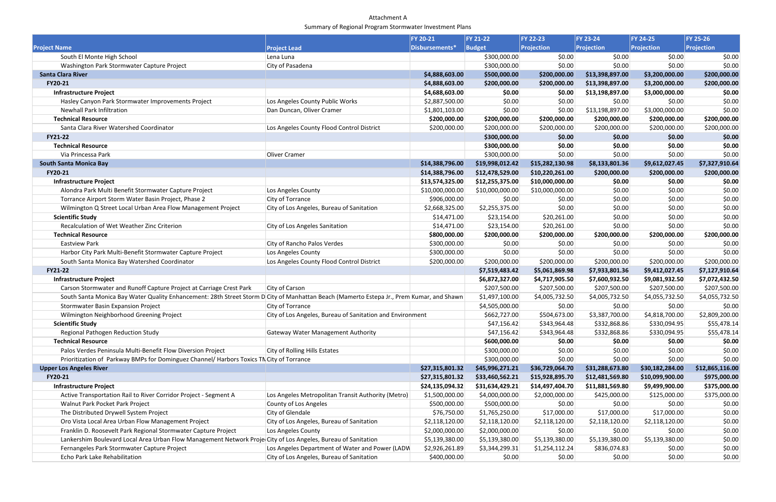## Attachment A Summary of Regional Program Stormwater Investment Plans

|                                                                                                                                          |                                                           | <b>FY 20-21</b> | FY 21-22        | <b>FY 22-23</b>   | <b>FY 23-24</b> | FY 24-25        | <b>FY 25-26</b>   |
|------------------------------------------------------------------------------------------------------------------------------------------|-----------------------------------------------------------|-----------------|-----------------|-------------------|-----------------|-----------------|-------------------|
| <b>Project Name</b>                                                                                                                      | <b>Project Lead</b>                                       | Disbursements*  | <b>Budget</b>   | <b>Projection</b> | Projection      | Projection      | <b>Projection</b> |
| South El Monte High School                                                                                                               | Lena Luna                                                 |                 | \$300,000.00    | \$0.00            | \$0.00          | \$0.00          | \$0.00            |
| Washington Park Stormwater Capture Project                                                                                               | City of Pasadena                                          |                 | \$300,000.00    | \$0.00            | \$0.00          | \$0.00          | \$0.00            |
| <b>Santa Clara River</b>                                                                                                                 |                                                           | \$4,888,603.00  | \$500,000.00    | \$200,000.00      | \$13,398,897.00 | \$3,200,000.00  | \$200,000.00      |
| FY20-21                                                                                                                                  |                                                           | \$4,888,603.00  | \$200,000.00    | \$200,000.00      | \$13,398,897.00 | \$3,200,000.00  | \$200,000.00      |
| <b>Infrastructure Project</b>                                                                                                            |                                                           | \$4,688,603.00  | \$0.00          | \$0.00            | \$13,198,897.00 | \$3,000,000.00  | \$0.00            |
| Hasley Canyon Park Stormwater Improvements Project                                                                                       | Los Angeles County Public Works                           | \$2,887,500.00  | \$0.00          | \$0.00            | \$0.00          | \$0.00          | \$0.00            |
| <b>Newhall Park Infiltration</b>                                                                                                         | Dan Duncan, Oliver Cramer                                 | \$1,801,103.00  | \$0.00          | \$0.00            | \$13,198,897.00 | \$3,000,000.00  | \$0.00            |
| <b>Technical Resource</b>                                                                                                                |                                                           | \$200,000.00    | \$200,000.00    | \$200,000.00      | \$200,000.00    | \$200,000.00    | \$200,000.00      |
| Santa Clara River Watershed Coordinator                                                                                                  | Los Angeles County Flood Control District                 | \$200,000.00    | \$200,000.00    | \$200,000.00      | \$200,000.00    | \$200,000.00    | \$200,000.00      |
| <b>FY21-22</b>                                                                                                                           |                                                           |                 | \$300,000.00    | \$0.00            | \$0.00          | \$0.00          | \$0.00            |
| <b>Technical Resource</b>                                                                                                                |                                                           |                 | \$300,000.00    | \$0.00            | \$0.00          | \$0.00          | \$0.00            |
| Via Princessa Park                                                                                                                       | Oliver Cramer                                             |                 | \$300,000.00    | \$0.00            | \$0.00          | \$0.00          | \$0.00            |
| <b>South Santa Monica Bay</b>                                                                                                            |                                                           | \$14,388,796.00 | \$19,998,012.42 | \$15,282,130.98   | \$8,133,801.36  | \$9,612,027.45  | \$7,327,910.64    |
| FY20-21                                                                                                                                  |                                                           | \$14,388,796.00 | \$12,478,529.00 | \$10,220,261.00   | \$200,000.00    | \$200,000.00    | \$200,000.00      |
| <b>Infrastructure Project</b>                                                                                                            |                                                           | \$13,574,325.00 | \$12,255,375.00 | \$10,000,000.00   | \$0.00          | \$0.00          | \$0.00            |
| Alondra Park Multi Benefit Stormwater Capture Project                                                                                    | Los Angeles County                                        | \$10,000,000.00 | \$10,000,000.00 | \$10,000,000.00   | \$0.00          | \$0.00          | \$0.00            |
| Torrance Airport Storm Water Basin Project, Phase 2                                                                                      | City of Torrance                                          | \$906,000.00    | \$0.00          | \$0.00            | \$0.00          | \$0.00          | \$0.00            |
| Wilmington Q Street Local Urban Area Flow Management Project                                                                             | City of Los Angeles, Bureau of Sanitation                 | \$2,668,325.00  | \$2,255,375.00  | \$0.00            | \$0.00          | \$0.00          | \$0.00            |
| <b>Scientific Study</b>                                                                                                                  |                                                           | \$14,471.00     | \$23,154.00     | \$20,261.00       | \$0.00          | \$0.00          | \$0.00            |
| Recalculation of Wet Weather Zinc Criterion                                                                                              | City of Los Angeles Sanitation                            | \$14,471.00     | \$23,154.00     | \$20,261.00       | \$0.00          | \$0.00          | \$0.00            |
| <b>Technical Resource</b>                                                                                                                |                                                           | \$800,000.00    | \$200,000.00    | \$200,000.00      | \$200,000.00    | \$200,000.00    | \$200,000.00      |
| <b>Eastview Park</b>                                                                                                                     | City of Rancho Palos Verdes                               | \$300,000.00    | \$0.00          | \$0.00            | \$0.00          | \$0.00          | \$0.00            |
| Harbor City Park Multi-Benefit Stormwater Capture Project                                                                                | Los Angeles County                                        | \$300,000.00    | \$0.00          | \$0.00            | \$0.00          | \$0.00          | \$0.00            |
| South Santa Monica Bay Watershed Coordinator                                                                                             | Los Angeles County Flood Control District                 | \$200,000.00    | \$200,000.00    | \$200,000.00      | \$200,000.00    | \$200,000.00    | \$200,000.00      |
| <b>FY21-22</b>                                                                                                                           |                                                           |                 | \$7,519,483.42  | \$5,061,869.98    | \$7,933,801.36  | \$9,412,027.45  | \$7,127,910.64    |
| <b>Infrastructure Project</b>                                                                                                            |                                                           |                 | \$6,872,327.00  | \$4,717,905.50    | \$7,600,932.50  | \$9,081,932.50  | \$7,072,432.50    |
| Carson Stormwater and Runoff Capture Project at Carriage Crest Park                                                                      | City of Carson                                            |                 | \$207,500.00    | \$207,500.00      | \$207,500.00    | \$207,500.00    | \$207,500.00      |
| South Santa Monica Bay Water Quality Enhancement: 28th Street Storm D City of Manhattan Beach (Mamerto Estepa Jr., Prem Kumar, and Shawn |                                                           |                 | \$1,497,100.00  | \$4,005,732.50    | \$4,005,732.50  | \$4,055,732.50  | \$4,055,732.50    |
| Stormwater Basin Expansion Project                                                                                                       | City of Torrance                                          |                 | \$4,505,000.00  | \$0.00            | \$0.00          | \$0.00          | \$0.00            |
| Wilmington Neighborhood Greening Project                                                                                                 | City of Los Angeles, Bureau of Sanitation and Environment |                 | \$662,727.00    | \$504,673.00      | \$3,387,700.00  | \$4,818,700.00  | \$2,809,200.00    |
| <b>Scientific Study</b>                                                                                                                  |                                                           |                 | \$47,156.42     | \$343,964.48      | \$332,868.86    | \$330,094.95    | \$55,478.14       |
| Regional Pathogen Reduction Study                                                                                                        | <b>Gateway Water Management Authority</b>                 |                 | \$47,156.42     | \$343,964.48      | \$332,868.86    | \$330,094.95    | \$55,478.14       |
| <b>Technical Resource</b>                                                                                                                |                                                           |                 | \$600,000.00    | \$0.00            | \$0.00          | \$0.00          | \$0.00            |
| Palos Verdes Peninsula Multi-Benefit Flow Diversion Project                                                                              | City of Rolling Hills Estates                             |                 | \$300,000.00    | \$0.00            | \$0.00          | \$0.00          | \$0.00            |
| Prioritization of Parkway BMPs for Dominguez Channel/ Harbors Toxics TN City of Torrance                                                 |                                                           |                 | \$300,000.00    | \$0.00            | \$0.00          | \$0.00          | \$0.00            |
| <b>Upper Los Angeles River</b>                                                                                                           |                                                           | \$27,315,801.32 | \$45,996,271.21 | \$36,729,064.70   | \$31,288,673.80 | \$30,182,284.00 | \$12,865,116.00   |
| FY20-21                                                                                                                                  |                                                           | \$27,315,801.32 | \$33,460,562.21 | \$15,928,895.70   | \$12,481,569.80 | \$10,099,900.00 | \$975,000.00      |
| <b>Infrastructure Project</b>                                                                                                            |                                                           | \$24,135,094.32 | \$31,634,429.21 | \$14,497,404.70   | \$11,881,569.80 | \$9,499,900.00  | \$375,000.00      |
| Active Transportation Rail to River Corridor Project - Segment A                                                                         | Los Angeles Metropolitan Transit Authority (Metro)        | \$1,500,000.00  | \$4,000,000.00  | \$2,000,000.00    | \$425,000.00    | \$125,000.00    | \$375,000.00      |
| Walnut Park Pocket Park Project                                                                                                          | County of Los Angeles                                     | \$500,000.00    | \$500,000.00    | \$0.00            | \$0.00          | \$0.00          | \$0.00            |
| The Distributed Drywell System Project                                                                                                   | City of Glendale                                          | \$76,750.00     | \$1,765,250.00  | \$17,000.00       | \$17,000.00     | \$17,000.00     | \$0.00            |
| Oro Vista Local Area Urban Flow Management Project                                                                                       | City of Los Angeles, Bureau of Sanitation                 | \$2,118,120.00  | \$2,118,120.00  | \$2,118,120.00    | \$2,118,120.00  | \$2,118,120.00  | \$0.00            |
| Franklin D. Roosevelt Park Regional Stormwater Capture Project                                                                           | Los Angeles County                                        | \$2,000,000.00  | \$2,000,000.00  | \$0.00            | \$0.00          | \$0.00          | \$0.00            |
| Lankershim Boulevard Local Area Urban Flow Management Network Proje City of Los Angeles, Bureau of Sanitation                            |                                                           | \$5,139,380.00  | \$5,139,380.00  | \$5,139,380.00    | \$5,139,380.00  | \$5,139,380.00  | \$0.00            |
| Fernangeles Park Stormwater Capture Project                                                                                              | Los Angeles Department of Water and Power (LADW           | \$2,926,261.89  | \$3,344,299.31  | \$1,254,112.24    | \$836,074.83    | \$0.00          | \$0.00            |
| Echo Park Lake Rehabilitation                                                                                                            | City of Los Angeles, Bureau of Sanitation                 | \$400,000.00    | \$0.00          | \$0.00            | \$0.00          | \$0.00          | \$0.00            |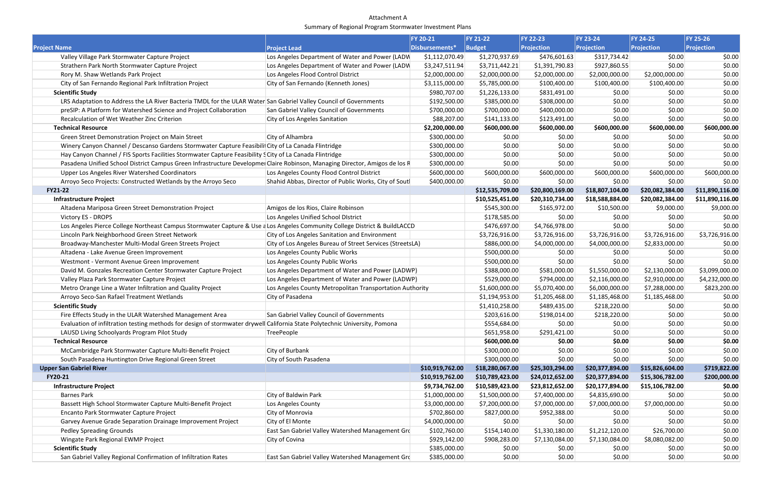## Attachment A Summary of Regional Program Stormwater Investment Plans

|                                                                                                                             |                                                           | <b>FY 20-21</b> | <b>FY 21-22</b> | <b>FY 22-23</b>   | <b>FY 23-24</b>   | <b>FY 24-25</b> | <b>FY 25-26</b>   |
|-----------------------------------------------------------------------------------------------------------------------------|-----------------------------------------------------------|-----------------|-----------------|-------------------|-------------------|-----------------|-------------------|
| <b>Project Name</b>                                                                                                         | <b>Project Lead</b>                                       | Disbursements*  | Budget          | <b>Projection</b> | <b>Projection</b> | Projection      | <b>Projection</b> |
| Valley Village Park Stormwater Capture Project                                                                              | Los Angeles Department of Water and Power (LADW           | \$1,112,070.49  | \$1,270,937.69  | \$476,601.63      | \$317,734.42      | \$0.00          | \$0.00            |
| Strathern Park North Stormwater Capture Project                                                                             | Los Angeles Department of Water and Power (LADW           | \$3,247,511.94  | \$3,711,442.21  | \$1,391,790.83    | \$927,860.55      | \$0.00          | \$0.00            |
| Rory M. Shaw Wetlands Park Project                                                                                          | Los Angeles Flood Control District                        | \$2,000,000.00  | \$2,000,000.00  | \$2,000,000.00    | \$2,000,000.00    | \$2,000,000.00  | \$0.00            |
| City of San Fernando Regional Park Infiltration Project                                                                     | City of San Fernando (Kenneth Jones)                      | \$3,115,000.00  | \$5,785,000.00  | \$100,400.00      | \$100,400.00      | \$100,400.00    | \$0.00            |
| <b>Scientific Study</b>                                                                                                     |                                                           | \$980,707.00    | \$1,226,133.00  | \$831,491.00      | \$0.00            | \$0.00          | \$0.00            |
| LRS Adaptation to Address the LA River Bacteria TMDL for the ULAR Water San Gabriel Valley Council of Governments           |                                                           | \$192,500.00    | \$385,000.00    | \$308,000.00      | \$0.00            | \$0.00          | \$0.00            |
| preSIP: A Platform for Watershed Science and Project Collaboration                                                          | San Gabriel Valley Council of Governments                 | \$700,000.00    | \$700,000.00    | \$400,000.00      | \$0.00            | \$0.00          | \$0.00            |
| Recalculation of Wet Weather Zinc Criterion                                                                                 | City of Los Angeles Sanitation                            | \$88,207.00     | \$141,133.00    | \$123,491.00      | \$0.00            | \$0.00          | \$0.00            |
| <b>Technical Resource</b>                                                                                                   |                                                           | \$2,200,000.00  | \$600,000.00    | \$600,000.00      | \$600,000.00      | \$600,000.00    | \$600,000.00      |
| Green Street Demonstration Project on Main Street                                                                           | City of Alhambra                                          | \$300,000.00    | \$0.00          | \$0.00            | \$0.00            | \$0.00          | \$0.00            |
| Winery Canyon Channel / Descanso Gardens Stormwater Capture Feasibilit City of La Canada Flintridge                         |                                                           | \$300,000.00    | \$0.00          | \$0.00            | \$0.00            | \$0.00          | \$0.00            |
| Hay Canyon Channel / FIS Sports Facilities Stormwater Capture Feasibility Scity of La Canada Flintridge                     |                                                           | \$300,000.00    | \$0.00          | \$0.00            | \$0.00            | \$0.00          | \$0.00            |
| Pasadena Unified School District Campus Green Infrastructure Developmer Claire Robinson, Managing Director, Amigos de los F |                                                           | \$300,000.00    | \$0.00          | \$0.00            | \$0.00            | \$0.00          | \$0.00            |
| Upper Los Angeles River Watershed Coordinators                                                                              | Los Angeles County Flood Control District                 | \$600,000.00    | \$600,000.00    | \$600,000.00      | \$600,000.00      | \$600,000.00    | \$600,000.00      |
| Arroyo Seco Projects: Constructed Wetlands by the Arroyo Seco                                                               | Shahid Abbas, Director of Public Works, City of Sout      | \$400,000.00    | \$0.00          | \$0.00            | \$0.00            | \$0.00          | \$0.00            |
| <b>FY21-22</b>                                                                                                              |                                                           |                 | \$12,535,709.00 | \$20,800,169.00   | \$18,807,104.00   | \$20,082,384.00 | \$11,890,116.00   |
| <b>Infrastructure Project</b>                                                                                               |                                                           |                 | \$10,525,451.00 | \$20,310,734.00   | \$18,588,884.00   | \$20,082,384.00 | \$11,890,116.00   |
| Altadena Mariposa Green Street Demonstration Project                                                                        | Amigos de los Rios, Claire Robinson                       |                 | \$545,300.00    | \$165,972.00      | \$10,500.00       | \$9,000.00      | \$9,000.00        |
| Victory ES - DROPS                                                                                                          | Los Angeles Unified School District                       |                 | \$178,585.00    | \$0.00            | \$0.00            | \$0.00          | \$0.00            |
| Los Angeles Pierce College Northeast Campus Stormwater Capture & Use a Los Angeles Community College District & BuildLACCD  |                                                           |                 | \$476,697.00    | \$4,766,978.00    | \$0.00            | \$0.00          | \$0.00            |
| Lincoln Park Neighborhood Green Street Network                                                                              | City of Los Angeles Sanitation and Environment            |                 | \$3,726,916.00  | \$3,726,916.00    | \$3,726,916.00    | \$3,726,916.00  | \$3,726,916.00    |
| Broadway-Manchester Multi-Modal Green Streets Project                                                                       | City of Los Angeles Bureau of Street Services (StreetsLA) |                 | \$886,000.00    | \$4,000,000.00    | \$4,000,000.00    | \$2,833,000.00  | \$0.00            |
| Altadena - Lake Avenue Green Improvement                                                                                    | Los Angeles County Public Works                           |                 | \$500,000.00    | \$0.00            | \$0.00            | \$0.00          | \$0.00            |
| Westmont - Vermont Avenue Green Improvement                                                                                 | Los Angeles County Public Works                           |                 | \$500,000.00    | \$0.00            | \$0.00            | \$0.00          | \$0.00            |
| David M. Gonzales Recreation Center Stormwater Capture Project                                                              | Los Angeles Department of Water and Power (LADWP)         |                 | \$388,000.00    | \$581,000.00      | \$1,550,000.00    | \$2,130,000.00  | \$3,099,000.00    |
| Valley Plaza Park Stormwater Capture Project                                                                                | Los Angeles Department of Water and Power (LADWP)         |                 | \$529,000.00    | \$794,000.00      | \$2,116,000.00    | \$2,910,000.00  | \$4,232,000.00    |
| Metro Orange Line a Water Infiltration and Quality Project                                                                  | Los Angeles County Metropolitan Transportation Authority  |                 | \$1,600,000.00  | \$5,070,400.00    | \$6,000,000.00    | \$7,288,000.00  | \$823,200.00      |
| Arroyo Seco-San Rafael Treatment Wetlands                                                                                   | City of Pasadena                                          |                 | \$1,194,953.00  | \$1,205,468.00    | \$1,185,468.00    | \$1,185,468.00  | \$0.00            |
| <b>Scientific Study</b>                                                                                                     |                                                           |                 | \$1,410,258.00  | \$489,435.00      | \$218,220.00      | \$0.00          | \$0.00            |
| Fire Effects Study in the ULAR Watershed Management Area                                                                    | San Gabriel Valley Council of Governments                 |                 | \$203,616.00    | \$198,014.00      | \$218,220.00      | \$0.00          | \$0.00            |
| Evaluation of infiltration testing methods for design of stormwater drywell California State Polytechnic University, Pomona |                                                           |                 | \$554,684.00    | \$0.00            | \$0.00            | \$0.00          | \$0.00            |
| LAUSD Living Schoolyards Program Pilot Study                                                                                | TreePeople                                                |                 | \$651,958.00    | \$291,421.00      | \$0.00            | \$0.00          | \$0.00            |
| <b>Technical Resource</b>                                                                                                   |                                                           |                 | \$600,000.00    | \$0.00            | \$0.00            | \$0.00          | \$0.00            |
| McCambridge Park Stormwater Capture Multi-Benefit Project                                                                   | City of Burbank                                           |                 | \$300,000.00    | \$0.00            | \$0.00            | \$0.00          | \$0.00            |
| South Pasadena Huntington Drive Regional Green Street                                                                       | City of South Pasadena                                    |                 | \$300,000.00    | \$0.00            | \$0.00            | \$0.00          | \$0.00            |
| <b>Upper San Gabriel River</b>                                                                                              |                                                           | \$10,919,762.00 | \$18,280,067.00 | \$25,303,294.00   | \$20,377,894.00   | \$15,826,604.00 | \$719,822.00      |
| FY20-21                                                                                                                     |                                                           | \$10,919,762.00 | \$10,789,423.00 | \$24,012,652.00   | \$20,377,894.00   | \$15,306,782.00 | \$200,000.00      |
| <b>Infrastructure Project</b>                                                                                               |                                                           | \$9,734,762.00  | \$10,589,423.00 | \$23,812,652.00   | \$20,177,894.00   | \$15,106,782.00 | \$0.00            |
| <b>Barnes Park</b>                                                                                                          | City of Baldwin Park                                      | \$1,000,000.00  | \$1,500,000.00  | \$7,400,000.00    | \$4,835,690.00    | \$0.00          | \$0.00            |
| Bassett High School Stormwater Capture Multi-Benefit Project                                                                | Los Angeles County                                        | \$3,000,000.00  | \$7,200,000.00  | \$7,000,000.00    | \$7,000,000.00    | \$7,000,000.00  | \$0.00            |
| Encanto Park Stormwater Capture Project                                                                                     | City of Monrovia                                          | \$702,860.00    | \$827,000.00    | \$952,388.00      | \$0.00            | \$0.00          | \$0.00            |
| Garvey Avenue Grade Separation Drainage Improvement Project                                                                 | City of El Monte                                          | \$4,000,000.00  | \$0.00          | \$0.00            | \$0.00            | \$0.00          | \$0.00            |
| <b>Pedley Spreading Grounds</b>                                                                                             | East San Gabriel Valley Watershed Management Gro          | \$102,760.00    | \$154,140.00    | \$1,330,180.00    | \$1,212,120.00    | \$26,700.00     | \$0.00            |
| Wingate Park Regional EWMP Project                                                                                          | City of Covina                                            | \$929,142.00    | \$908,283.00    | \$7,130,084.00    | \$7,130,084.00    | \$8,080,082.00  | \$0.00            |
| <b>Scientific Study</b>                                                                                                     |                                                           | \$385,000.00    | \$0.00          | \$0.00            | \$0.00            | \$0.00          | \$0.00            |
| San Gabriel Valley Regional Confirmation of Infiltration Rates                                                              | East San Gabriel Valley Watershed Management Gro          | \$385,000.00    | \$0.00          | \$0.00            | \$0.00            | \$0.00          | \$0.00            |